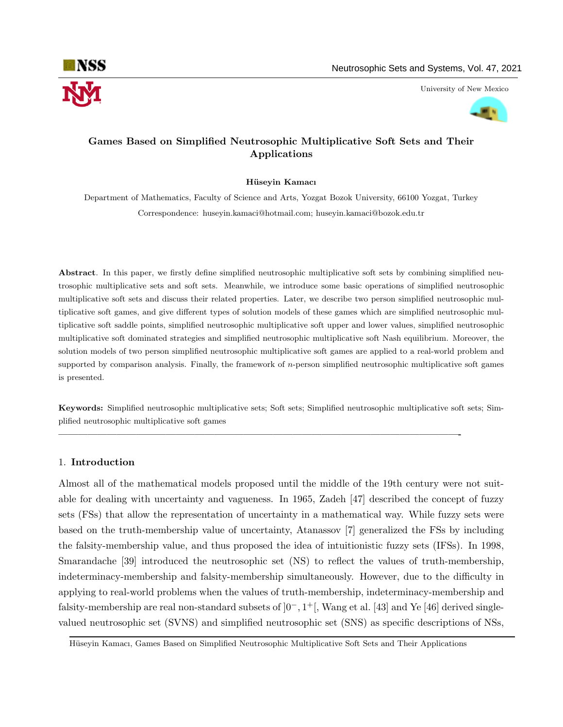

University of New Mexico



# Games Based on Simplified Neutrosophic Multiplicative Soft Sets and Their Applications

## Hüseyin Kamacı

Department of Mathematics, Faculty of Science and Arts, Yozgat Bozok University, 66100 Yozgat, Turkey Correspondence: huseyin.kamaci@hotmail.com; huseyin.kamaci@bozok.edu.tr

Abstract. In this paper, we firstly define simplified neutrosophic multiplicative soft sets by combining simplified neutrosophic multiplicative sets and soft sets. Meanwhile, we introduce some basic operations of simplified neutrosophic multiplicative soft sets and discuss their related properties. Later, we describe two person simplified neutrosophic multiplicative soft games, and give different types of solution models of these games which are simplified neutrosophic multiplicative soft saddle points, simplified neutrosophic multiplicative soft upper and lower values, simplified neutrosophic multiplicative soft dominated strategies and simplified neutrosophic multiplicative soft Nash equilibrium. Moreover, the solution models of two person simplified neutrosophic multiplicative soft games are applied to a real-world problem and supported by comparison analysis. Finally, the framework of  $n$ -person simplified neutrosophic multiplicative soft games is presented.

Keywords: Simplified neutrosophic multiplicative sets; Soft sets; Simplified neutrosophic multiplicative soft sets; Simplified neutrosophic multiplicative soft games

—————————————————————————————————————————-

# 1. Introduction

Almost all of the mathematical models proposed until the middle of the 19th century were not suitable for dealing with uncertainty and vagueness. In 1965, Zadeh [47] described the concept of fuzzy sets (FSs) that allow the representation of uncertainty in a mathematical way. While fuzzy sets were based on the truth-membership value of uncertainty, Atanassov [7] generalized the FSs by including the falsity-membership value, and thus proposed the idea of intuitionistic fuzzy sets (IFSs). In 1998, Smarandache [39] introduced the neutrosophic set (NS) to reflect the values of truth-membership, indeterminacy-membership and falsity-membership simultaneously. However, due to the difficulty in applying to real-world problems when the values of truth-membership, indeterminacy-membership and falsity-membership are real non-standard subsets of ]0−, 1 <sup>+</sup>[, Wang et al. [43] and Ye [46] derived singlevalued neutrosophic set (SVNS) and simplified neutrosophic set (SNS) as specific descriptions of NSs,

Hüseyin Kamacı, Games Based on Simplified Neutrosophic Multiplicative Soft Sets and Their Applications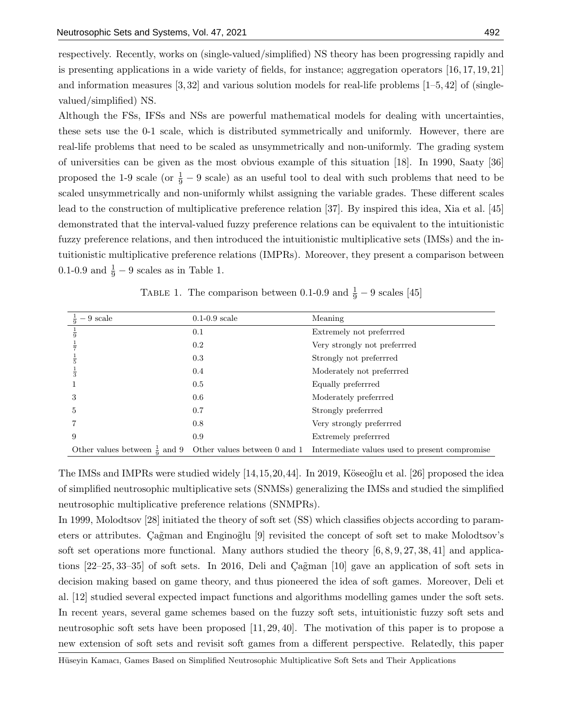respectively. Recently, works on (single-valued/simplified) NS theory has been progressing rapidly and is presenting applications in a wide variety of fields, for instance; aggregation operators [16, 17, 19, 21] and information measures  $[3, 32]$  and various solution models for real-life problems  $[1-5, 42]$  of (singlevalued/simplified) NS.

Although the FSs, IFSs and NSs are powerful mathematical models for dealing with uncertainties, these sets use the 0-1 scale, which is distributed symmetrically and uniformly. However, there are real-life problems that need to be scaled as unsymmetrically and non-uniformly. The grading system of universities can be given as the most obvious example of this situation [18]. In 1990, Saaty [36] proposed the 1-9 scale (or  $\frac{1}{9} - 9$  scale) as an useful tool to deal with such problems that need to be scaled unsymmetrically and non-uniformly whilst assigning the variable grades. These different scales lead to the construction of multiplicative preference relation [37]. By inspired this idea, Xia et al. [45] demonstrated that the interval-valued fuzzy preference relations can be equivalent to the intuitionistic fuzzy preference relations, and then introduced the intuitionistic multiplicative sets (IMSs) and the intuitionistic multiplicative preference relations (IMPRs). Moreover, they present a comparison between 0.1-0.9 and  $\frac{1}{9} - 9$  scales as in Table 1.

| $-9$ scale                               | $0.1-0.9$ scale              | Meaning                                        |
|------------------------------------------|------------------------------|------------------------------------------------|
| $\frac{1}{9}$                            | 0.1                          | Extremely not preferrred                       |
|                                          | $0.2\,$                      | Very strongly not preferrred                   |
|                                          | 0.3                          | Strongly not preferrred                        |
|                                          | 0.4                          | Moderately not preferrred                      |
|                                          | 0.5                          | Equally preferrred                             |
| 3                                        | 0.6                          | Moderately preferrred                          |
| 5                                        | 0.7                          | Strongly preferrred                            |
|                                          | 0.8                          | Very strongly preferrred                       |
| 9                                        | 0.9                          | Extremely preferrred                           |
| Other values between $\frac{1}{9}$ and 9 | Other values between 0 and 1 | Intermediate values used to present compromise |

TABLE 1. The comparison between 0.1-0.9 and  $\frac{1}{9} - 9$  scales [45]

The IMSs and IMPRs were studied widely  $[14,15,20,44]$ . In 2019, Köseoglu et al. [26] proposed the idea of simplified neutrosophic multiplicative sets (SNMSs) generalizing the IMSs and studied the simplified neutrosophic multiplicative preference relations (SNMPRs).

In 1999, Molodtsov [28] initiated the theory of soft set (SS) which classifies objects according to parameters or attributes. Cağman and Enginoğlu [9] revisited the concept of soft set to make Molodtsov's soft set operations more functional. Many authors studied the theory  $[6, 8, 9, 27, 38, 41]$  and applications  $[22-25, 33-35]$  of soft sets. In 2016, Deli and Cagman  $[10]$  gave an application of soft sets in decision making based on game theory, and thus pioneered the idea of soft games. Moreover, Deli et al. [12] studied several expected impact functions and algorithms modelling games under the soft sets. In recent years, several game schemes based on the fuzzy soft sets, intuitionistic fuzzy soft sets and neutrosophic soft sets have been proposed [11, 29, 40]. The motivation of this paper is to propose a new extension of soft sets and revisit soft games from a different perspective. Relatedly, this paper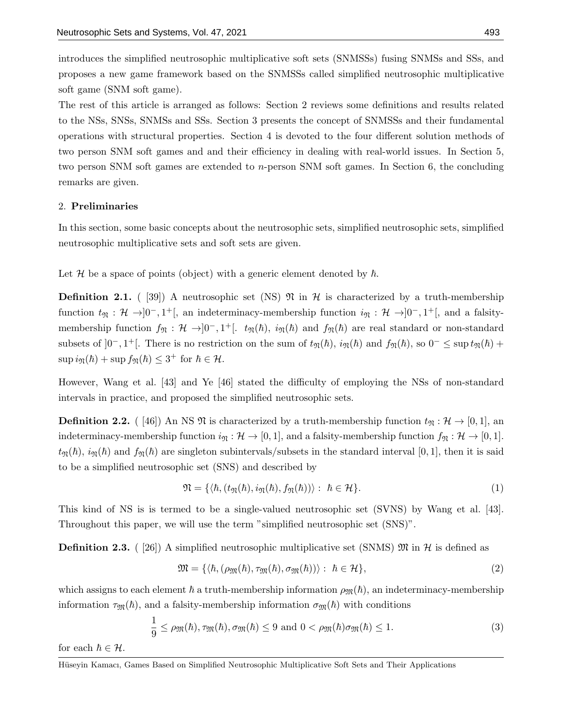introduces the simplified neutrosophic multiplicative soft sets (SNMSSs) fusing SNMSs and SSs, and proposes a new game framework based on the SNMSSs called simplified neutrosophic multiplicative soft game (SNM soft game).

The rest of this article is arranged as follows: Section 2 reviews some definitions and results related to the NSs, SNSs, SNMSs and SSs. Section 3 presents the concept of SNMSSs and their fundamental operations with structural properties. Section 4 is devoted to the four different solution methods of two person SNM soft games and and their efficiency in dealing with real-world issues. In Section 5, two person SNM soft games are extended to n-person SNM soft games. In Section 6, the concluding remarks are given.

# 2. Preliminaries

In this section, some basic concepts about the neutrosophic sets, simplified neutrosophic sets, simplified neutrosophic multiplicative sets and soft sets are given.

Let H be a space of points (object) with a generic element denoted by  $\hbar$ .

**Definition 2.1.** ( [39]) A neutrosophic set (NS)  $\mathfrak{N}$  in  $\mathcal{H}$  is characterized by a truth-membership function  $t_{\mathfrak{N}} : \mathcal{H} \to ]0^-, 1^+]$ , an indeterminacy-membership function  $i_{\mathfrak{N}} : \mathcal{H} \to ]0^-, 1^+]$ , and a falsitymembership function  $f_{\mathfrak{N}} : \mathcal{H} \to ]0^-, 1^+]$ .  $t_{\mathfrak{N}}(\hbar)$ ,  $i_{\mathfrak{N}}(\hbar)$  and  $f_{\mathfrak{N}}(\hbar)$  are real standard or non-standard subsets of  $]0^-, 1^+[$ . There is no restriction on the sum of  $t_{\mathfrak{N}}(\hbar), i_{\mathfrak{N}}(\hbar)$  and  $f_{\mathfrak{N}}(\hbar),$  so  $0^- \leq \sup t_{\mathfrak{N}}(\hbar) +$  $\sup i_{\mathfrak{N}}(\hbar) + \sup f_{\mathfrak{N}}(\hbar) \leq 3^+ \text{ for } \hbar \in \mathcal{H}.$ 

However, Wang et al. [43] and Ye [46] stated the difficulty of employing the NSs of non-standard intervals in practice, and proposed the simplified neutrosophic sets.

**Definition 2.2.** ( [46]) An NS  $\mathfrak{N}$  is characterized by a truth-membership function  $t_{\mathfrak{N}} : \mathcal{H} \to [0, 1]$ , an indeterminacy-membership function  $i_{\mathfrak{N}} : \mathcal{H} \to [0,1]$ , and a falsity-membership function  $f_{\mathfrak{N}} : \mathcal{H} \to [0,1]$ .  $t_{\mathfrak{N}}(\hbar), i_{\mathfrak{N}}(\hbar)$  and  $f_{\mathfrak{N}}(\hbar)$  are singleton subintervals/subsets in the standard interval [0, 1], then it is said to be a simplified neutrosophic set (SNS) and described by

$$
\mathfrak{N} = \{ \langle \hbar, (t_{\mathfrak{N}}(\hbar), i_{\mathfrak{N}}(\hbar), f_{\mathfrak{N}}(\hbar)) \rangle : \ \hbar \in \mathcal{H} \}.
$$
 (1)

This kind of NS is is termed to be a single-valued neutrosophic set (SVNS) by Wang et al. [43]. Throughout this paper, we will use the term "simplified neutrosophic set (SNS)".

**Definition 2.3.** ( [26]) A simplified neutrosophic multiplicative set (SNMS)  $\mathfrak{M}$  in  $\mathcal{H}$  is defined as

$$
\mathfrak{M} = \{ \langle \hbar, (\rho_{\mathfrak{M}}(\hbar), \tau_{\mathfrak{M}}(\hbar), \sigma_{\mathfrak{M}}(\hbar)) \rangle : \ \hbar \in \mathcal{H} \},\tag{2}
$$

which assigns to each element  $\hbar$  a truth-membership information  $\rho_{\mathfrak{M}}(\hbar)$ , an indeterminacy-membership information  $\tau_{\mathfrak{M}}(\hbar)$ , and a falsity-membership information  $\sigma_{\mathfrak{M}}(\hbar)$  with conditions

$$
\frac{1}{9} \leq \rho_{\mathfrak{M}}(\hbar), \tau_{\mathfrak{M}}(\hbar), \sigma_{\mathfrak{M}}(\hbar) \leq 9 \text{ and } 0 < \rho_{\mathfrak{M}}(\hbar) \sigma_{\mathfrak{M}}(\hbar) \leq 1.
$$
\n(3)

for each  $h \in \mathcal{H}$ .

Hüseyin Kamacı, Games Based on Simplified Neutrosophic Multiplicative Soft Sets and Their Applications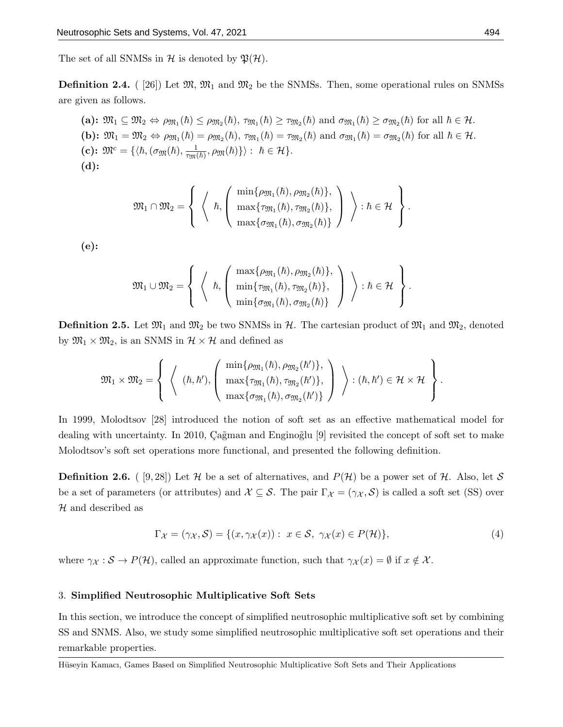The set of all SNMSs in H is denoted by  $\mathfrak{P}(\mathcal{H})$ .

**Definition 2.4.** ( [26]) Let  $\mathfrak{M}, \mathfrak{M}_1$  and  $\mathfrak{M}_2$  be the SNMSs. Then, some operational rules on SNMSs are given as follows.

(a):  $\mathfrak{M}_1 \subseteq \mathfrak{M}_2 \Leftrightarrow \rho_{\mathfrak{M}_1}(\hbar) \leq \rho_{\mathfrak{M}_2}(\hbar), \tau_{\mathfrak{M}_1}(\hbar) \geq \tau_{\mathfrak{M}_2}(\hbar)$  and  $\sigma_{\mathfrak{M}_1}(\hbar) \geq \sigma_{\mathfrak{M}_2}(\hbar)$  for all  $\hbar \in \mathcal{H}$ . (b):  $\mathfrak{M}_1 = \mathfrak{M}_2 \Leftrightarrow \rho_{\mathfrak{M}_1}(\hbar) = \rho_{\mathfrak{M}_2}(\hbar), \tau_{\mathfrak{M}_1}(\hbar) = \tau_{\mathfrak{M}_2}(\hbar)$  and  $\sigma_{\mathfrak{M}_1}(\hbar) = \sigma_{\mathfrak{M}_2}(\hbar)$  for all  $\hbar \in \mathcal{H}$ . (c):  $\mathfrak{M}^c = \{ \langle \hbar, (\sigma_{\mathfrak{M}}(\hbar), \frac{1}{\tau_{\mathfrak{M}}(\hbar)}, \rho_{\mathfrak{M}}(\hbar) \} \rangle : \hbar \in \mathcal{H} \}.$ (d):

$$
\mathfrak{M}_{1}\cap\mathfrak{M}_{2}=\left\{\ \left\langle\ \begin{array}{c} \hbox{min}\{\rho_{\mathfrak{M}_{1}}(\hbar),\rho_{\mathfrak{M}_{2}}(\hbar)\},\\\ \hbox{max}\{\tau_{\mathfrak{M}_{1}}(\hbar),\tau_{\mathfrak{M}_{2}}(\hbar)\},\\\ \hbox{max}\{\sigma_{\mathfrak{M}_{1}}(\hbar),\sigma_{\mathfrak{M}_{2}}(\hbar)\}\end{array}\right\rangle:\hbar\in\mathcal{H}\ \right\}.
$$

(e):

$$
\mathfrak{M}_1\cup\mathfrak{M}_2=\left\{\begin{array}{c}\left\{\begin{array}{c}\max\{\rho_{\mathfrak{M}_1}(\hbar),\rho_{\mathfrak{M}_2}(\hbar)\},\\ \min\{\tau_{\mathfrak{M}_1}(\hbar),\tau_{\mathfrak{M}_2}(\hbar)\},\\ \min\{\sigma_{\mathfrak{M}_1}(\hbar),\sigma_{\mathfrak{M}_2}(\hbar)\}\end{array}\right\}\right):\hbar\in\mathcal{H}\end{array}\right\}.
$$

**Definition 2.5.** Let  $\mathfrak{M}_1$  and  $\mathfrak{M}_2$  be two SNMSs in H. The cartesian product of  $\mathfrak{M}_1$  and  $\mathfrak{M}_2$ , denoted by  $\mathfrak{M}_1 \times \mathfrak{M}_2$ , is an SNMS in  $\mathcal{H} \times \mathcal{H}$  and defined as

$$
\mathfrak{M}_1\times \mathfrak{M}_2=\left\{\begin{array}{c}\left\langle\begin{array}{c} \min\{\rho_{\mathfrak{M}_1}(\hbar),\rho_{\mathfrak{M}_2}(\hbar')\},\\\max\{\tau_{\mathfrak{M}_1}(\hbar),\tau_{\mathfrak{M}_2}(\hbar')\},\\\\max\{\sigma_{\mathfrak{M}_1}(\hbar),\sigma_{\mathfrak{M}_2}(\hbar')\}\end{array}\right\rangle\end{array}; (\hbar,\hbar')\in \mathcal{H}\times \mathcal{H}\end{array}\right\}.
$$

In 1999, Molodtsov [28] introduced the notion of soft set as an effective mathematical model for dealing with uncertainty. In 2010, Ca $\tilde{g}$ man and Engino $\tilde{g}$ lu [9] revisited the concept of soft set to make Molodtsov's soft set operations more functional, and presented the following definition.

**Definition 2.6.** ( [9, 28]) Let H be a set of alternatives, and  $P(H)$  be a power set of H. Also, let S be a set of parameters (or attributes) and  $\mathcal{X} \subseteq \mathcal{S}$ . The pair  $\Gamma_{\mathcal{X}} = (\gamma_{\mathcal{X}}, \mathcal{S})$  is called a soft set (SS) over  $H$  and described as

$$
\Gamma_{\mathcal{X}} = (\gamma_{\mathcal{X}}, \mathcal{S}) = \{ (x, \gamma_{\mathcal{X}}(x)) : x \in \mathcal{S}, \ \gamma_{\mathcal{X}}(x) \in P(\mathcal{H}) \},\tag{4}
$$

where  $\gamma_{\mathcal{X}} : \mathcal{S} \to P(\mathcal{H})$ , called an approximate function, such that  $\gamma_{\mathcal{X}}(x) = \emptyset$  if  $x \notin \mathcal{X}$ .

## 3. Simplified Neutrosophic Multiplicative Soft Sets

In this section, we introduce the concept of simplified neutrosophic multiplicative soft set by combining SS and SNMS. Also, we study some simplified neutrosophic multiplicative soft set operations and their remarkable properties.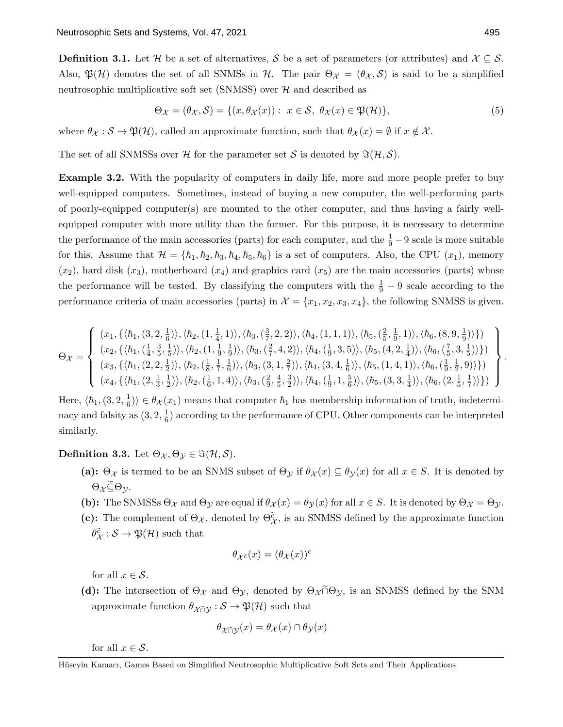**Definition 3.1.** Let H be a set of alternatives, S be a set of parameters (or attributes) and  $\mathcal{X} \subseteq \mathcal{S}$ . Also,  $\mathfrak{P}(\mathcal{H})$  denotes the set of all SNMSs in H. The pair  $\Theta_{\mathcal{X}} = (\theta_{\mathcal{X}}, \mathcal{S})$  is said to be a simplified neutrosophic multiplicative soft set (SNMSS) over  $H$  and described as

$$
\Theta_{\mathcal{X}} = (\theta_{\mathcal{X}}, \mathcal{S}) = \{ (x, \theta_{\mathcal{X}}(x)) : x \in \mathcal{S}, \ \theta_{\mathcal{X}}(x) \in \mathfrak{P}(\mathcal{H}) \},\tag{5}
$$

where  $\theta_{\mathcal{X}} : \mathcal{S} \to \mathfrak{P}(\mathcal{H})$ , called an approximate function, such that  $\theta_{\mathcal{X}}(x) = \emptyset$  if  $x \notin \mathcal{X}$ .

The set of all SNMSSs over H for the parameter set S is denoted by  $\Im(\mathcal{H}, \mathcal{S})$ .

Example 3.2. With the popularity of computers in daily life, more and more people prefer to buy well-equipped computers. Sometimes, instead of buying a new computer, the well-performing parts of poorly-equipped computer(s) are mounted to the other computer, and thus having a fairly wellequipped computer with more utility than the former. For this purpose, it is necessary to determine the performance of the main accessories (parts) for each computer, and the  $\frac{1}{9} - 9$  scale is more suitable for this. Assume that  $\mathcal{H} = \{\hbar_1, \hbar_2, \hbar_3, \hbar_4, \hbar_5, \hbar_6\}$  is a set of computers. Also, the CPU  $(x_1)$ , memory  $(x_2)$ , hard disk  $(x_3)$ , motherboard  $(x_4)$  and graphics card  $(x_5)$  are the main accessories (parts) whose the performance will be tested. By classifying the computers with the  $\frac{1}{9} - 9$  scale according to the performance criteria of main accessories (parts) in  $\mathcal{X} = \{x_1, x_2, x_3, x_4\}$ , the following SNMSS is given.

$$
\Theta_{\mathcal{X}} = \left\{\n\begin{array}{l}\n(x_1, \{\langle \hbar_1, (3,2,\frac{1}{6}) \rangle, \langle \hbar_2, (1,\frac{1}{4},1) \rangle, \langle \hbar_3, (\frac{3}{7},2,2) \rangle, \langle \hbar_4, (1,1,1) \rangle, \langle \hbar_5, (\frac{2}{5},\frac{1}{9},1) \rangle, \langle \hbar_6, (8,9,\frac{1}{9}) \rangle\}\n\\
(x_2, \{\langle \hbar_1, (\frac{1}{4},\frac{3}{5},\frac{1}{5}) \rangle, \langle \hbar_2, (1,\frac{1}{9},\frac{1}{9}) \rangle, \langle \hbar_3, (\frac{2}{7},4,2) \rangle, \langle \hbar_4, (\frac{1}{9},3,5) \rangle, \langle \hbar_5, (4,2,\frac{1}{4}) \rangle, \langle \hbar_6, (\frac{7}{5},3,\frac{1}{5}) \rangle\}\n\end{array}\n\right\}
$$
\n
$$
(x_3, \{\langle \hbar_1, (2,2,\frac{1}{2}) \rangle, \langle \hbar_2, (\frac{1}{8},\frac{1}{7},\frac{1}{6}) \rangle, \langle \hbar_3, (3,1,\frac{2}{7}) \rangle, \langle \hbar_4, (3,4,\frac{1}{6}) \rangle, \langle \hbar_5, (1,4,1) \rangle, \langle \hbar_6, (\frac{1}{9},\frac{1}{2},9) \rangle\}\n\right\}
$$
\n
$$
(x_4, \{\langle \hbar_1, (2,\frac{1}{3},\frac{1}{2}) \rangle, \langle \hbar_2, (\frac{1}{6},1,4) \rangle, \langle \hbar_3, (\frac{2}{9},\frac{4}{5},\frac{3}{2}) \rangle, \langle \hbar_4, (\frac{1}{9},1,\frac{5}{6}) \rangle, \langle \hbar_5, (3,3,\frac{1}{4}) \rangle, \langle \hbar_6, (2,\frac{1}{5},\frac{1}{7}) \rangle\}\n\end{array}\n\right\}
$$

Here,  $\langle \hbar_1,(3,2,\frac{1}{6})$  $\frac{1}{6}$ )  $\in \theta_{\mathcal{X}}(x_1)$  means that computer  $\hbar_1$  has membership information of truth, indeterminacy and falsity as  $(3, 2, \frac{1}{6})$  $\frac{1}{6}$ ) according to the performance of CPU. Other components can be interpreted similarly.

**Definition 3.3.** Let  $\Theta_{\mathcal{X}}, \Theta_{\mathcal{Y}} \in \Im(\mathcal{H}, \mathcal{S}).$ 

- (a):  $\Theta_{\mathcal{X}}$  is termed to be an SNMS subset of  $\Theta_{\mathcal{Y}}$  if  $\theta_{\mathcal{X}}(x) \subseteq \theta_{\mathcal{Y}}(x)$  for all  $x \in S$ . It is denoted by  $\Theta_{\mathcal{X}} \widetilde{\subseteq} \Theta_{\mathcal{V}}$ .
- (b): The SNMSSs  $\Theta_{\mathcal{X}}$  and  $\Theta_{\mathcal{Y}}$  are equal if  $\theta_{\mathcal{X}}(x) = \theta_{\mathcal{Y}}(x)$  for all  $x \in S$ . It is denoted by  $\Theta_{\mathcal{X}} = \Theta_{\mathcal{Y}}$ .
- (c): The complement of  $\Theta_{\mathcal{X}}$ , denoted by  $\Theta_{\mathcal{X}}^{\tilde{c}}$ , is an SNMSS defined by the approximate function  $\theta_{\mathcal{X}}^{\widetilde{c}}:\mathcal{S}\rightarrow\mathfrak{P}(\mathcal{H})$  such that

$$
\theta_{\mathcal{X}^{\widetilde{c}}}(x) = (\theta_{\mathcal{X}}(x))^c
$$

for all  $x \in \mathcal{S}$ .

(d): The intersection of  $\Theta_{\mathcal{X}}$  and  $\Theta_{\mathcal{Y}}$ , denoted by  $\Theta_{\mathcal{X}} \cap \Theta_{\mathcal{Y}}$ , is an SNMSS defined by the SNM approximate function  $\theta_{\mathcal{X}\tilde{\cap}\mathcal{Y}}:\mathcal{S}\to\mathfrak{P}(\mathcal{H})$  such that

$$
\theta_{\mathcal{X}\widetilde{\cap}\mathcal{Y}}(x) = \theta_{\mathcal{X}}(x) \cap \theta_{\mathcal{Y}}(x)
$$

for all  $x \in \mathcal{S}$ .

.

Hüseyin Kamacı, Games Based on Simplified Neutrosophic Multiplicative Soft Sets and Their Applications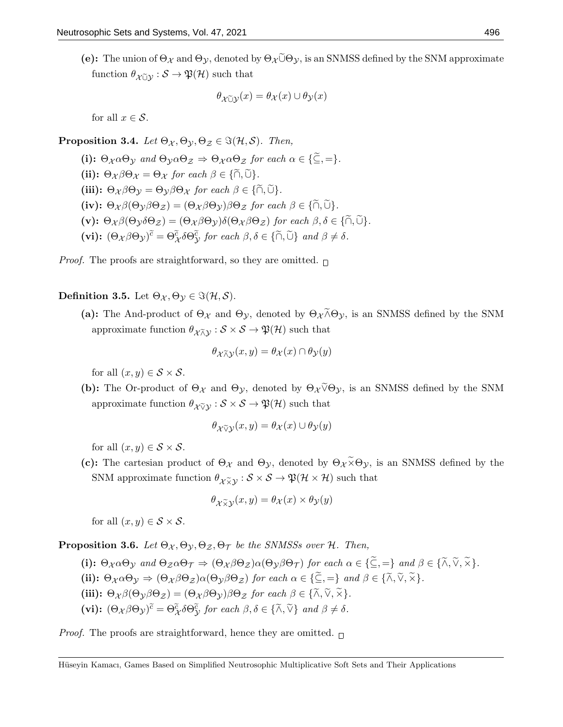(e): The union of  $\Theta_{\mathcal{X}}$  and  $\Theta_{\mathcal{Y}}$ , denoted by  $\Theta_{\mathcal{X}}\tilde{\cup}\Theta_{\mathcal{Y}}$ , is an SNMSS defined by the SNM approximate function  $\theta_{\mathcal{X} \tilde{\cup} \mathcal{Y}} : \mathcal{S} \to \mathfrak{P}(\mathcal{H})$  such that

$$
\theta_{\mathcal{X}\widetilde{\cup}\mathcal{Y}}(x) = \theta_{\mathcal{X}}(x) \cup \theta_{\mathcal{Y}}(x)
$$

for all  $x \in \mathcal{S}$ .

**Proposition 3.4.** Let  $\Theta_{\mathcal{X}}, \Theta_{\mathcal{Y}}, \Theta_{\mathcal{Z}} \in \Im(\mathcal{H}, \mathcal{S})$ . Then,

(i):  $\Theta_{\mathcal{X}} \alpha \Theta_{\mathcal{Y}}$  and  $\Theta_{\mathcal{Y}} \alpha \Theta_{\mathcal{Z}} \Rightarrow \Theta_{\mathcal{X}} \alpha \Theta_{\mathcal{Z}}$  for each  $\alpha \in {\{\widetilde{\subseteq}, =\}}$ . (ii):  $\Theta_{\mathcal{X}} \beta \Theta_{\mathcal{X}} = \Theta_{\mathcal{X}}$  for each  $\beta \in \{ \widetilde{\cap}, \widetilde{\cup} \}$ . (iii):  $\Theta_{\chi}\beta\Theta_{\gamma} = \Theta_{\gamma}\beta\Theta_{\chi}$  for each  $\beta \in {\{\widetilde{\cap}, \widetilde{\cup}\}}$ . (iv):  $\Theta_{\mathcal{X}} \beta(\Theta_{\mathcal{Y}} \beta \Theta_{\mathcal{Z}}) = (\Theta_{\mathcal{X}} \beta \Theta_{\mathcal{Y}}) \beta \Theta_{\mathcal{Z}}$  for each  $\beta \in {\{\widetilde{\cap}, \widetilde{\cup}\}}$ . (v):  $\Theta_{\chi}\beta(\Theta_{\gamma}\delta\Theta_{\chi})=(\Theta_{\chi}\beta\Theta_{\gamma})\delta(\Theta_{\chi}\beta\Theta_{\chi})$  for each  $\beta, \delta \in {\{\widetilde{\cap}, \widetilde{\cup}\}}$ . (vi):  $(\Theta_{\mathcal{X}} \beta \Theta_{\mathcal{Y}})^{\tilde{c}} = \Theta_{\mathcal{X}}^{\tilde{c}} \delta \Theta_{\mathcal{Y}}^{\tilde{c}}$  for each  $\beta, \delta \in {\tilde{c}}$ ,  $\tilde{\Theta}$  and  $\beta \neq \delta$ .

*Proof.* The proofs are straightforward, so they are omitted.  $\Box$ 

**Definition 3.5.** Let  $\Theta_{\mathcal{X}}, \Theta_{\mathcal{Y}} \in \Im(\mathcal{H}, \mathcal{S})$ .

(a): The And-product of  $\Theta_{\mathcal{X}}$  and  $\Theta_{\mathcal{Y}}$ , denoted by  $\Theta_{\mathcal{X}} \tilde{\wedge} \Theta_{\mathcal{Y}}$ , is an SNMSS defined by the SNM approximate function  $\theta_{\chi\bar{\chi}\chi}:\mathcal{S}\times\mathcal{S}\to\mathfrak{P}(\mathcal{H})$  such that

$$
\theta_{\mathcal{X} \widetilde{\wedge} \mathcal{Y}}(x, y) = \theta_{\mathcal{X}}(x) \cap \theta_{\mathcal{Y}}(y)
$$

for all  $(x, y) \in S \times S$ .

(b): The Or-product of  $\Theta_{\mathcal{X}}$  and  $\Theta_{\mathcal{Y}}$ , denoted by  $\Theta_{\mathcal{X}} \tilde{\vee} \Theta_{\mathcal{Y}}$ , is an SNMSS defined by the SNM approximate function  $\theta_{\mathcal{X} \widetilde{\vee} \mathcal{Y}} : \mathcal{S} \times \mathcal{S} \to \mathfrak{P}(\mathcal{H})$  such that

$$
\theta_{\mathcal{X}\widetilde{\vee}\mathcal{Y}}(x,y) = \theta_{\mathcal{X}}(x) \cup \theta_{\mathcal{Y}}(y)
$$

for all  $(x, y) \in S \times S$ .

(c): The cartesian product of  $\Theta_{\mathcal{X}}$  and  $\Theta_{\mathcal{Y}}$ , denoted by  $\Theta_{\mathcal{X}} \tilde{\times} \Theta_{\mathcal{Y}}$ , is an SNMSS defined by the SNM approximate function  $\theta_{\chi \tilde{\chi} y} : S \times S \to \mathfrak{P}(\mathcal{H} \times \mathcal{H})$  such that

$$
\theta_{\mathcal{X}\widetilde{\times}\mathcal{Y}}(x,y) = \theta_{\mathcal{X}}(x) \times \theta_{\mathcal{Y}}(y)
$$

for all  $(x, y) \in S \times S$ .

**Proposition 3.6.** Let  $\Theta_{\mathcal{X}}, \Theta_{\mathcal{Y}}, \Theta_{\mathcal{Z}}, \Theta_{\mathcal{T}}$  be the SNMSSs over H. Then,

(i):  $\Theta_{\mathcal{X}} \alpha \Theta_{\mathcal{Y}}$  and  $\Theta_{\mathcal{Z}} \alpha \Theta_{\mathcal{T}} \Rightarrow (\Theta_{\mathcal{X}} \beta \Theta_{\mathcal{Z}}) \alpha (\Theta_{\mathcal{Y}} \beta \Theta_{\mathcal{T}})$  for each  $\alpha \in {\{\widetilde{\subseteq}, =\}}$  and  $\beta \in {\{\widetilde{\land}, \widetilde{\lor}, \widetilde{\times}\}}$ . (ii):  $\Theta_{\mathcal{X}} \alpha \Theta_{\mathcal{Y}} \Rightarrow (\Theta_{\mathcal{X}} \beta \Theta_{\mathcal{Z}}) \alpha (\Theta_{\mathcal{Y}} \beta \Theta_{\mathcal{Z}})$  for each  $\alpha \in \{\widetilde{\subseteq}, =\}$  and  $\beta \in \{\widetilde{\wedge}, \widetilde{\vee}, \widetilde{\times}\}.$ (iii):  $\Theta_{\chi}\beta(\Theta_{\gamma}\beta\Theta_{\chi}) = (\Theta_{\chi}\beta\Theta_{\gamma})\beta\Theta_{\chi}$  for each  $\beta \in {\tilde{\wedge}}, \tilde{\vee}, \tilde{\times}$ . (vi):  $(\Theta_{\mathcal{X}} \beta \Theta_{\mathcal{Y}})^{\tilde{c}} = \Theta_{\mathcal{X}}^{\tilde{c}} \delta \Theta_{\mathcal{Y}}^{\tilde{c}}$  for each  $\beta, \delta \in {\tilde{\Lambda}, \tilde{\vee}}\}$  and  $\beta \neq \delta$ .

*Proof.* The proofs are straightforward, hence they are omitted.  $\Box$ 

Hüseyin Kamacı, Games Based on Simplified Neutrosophic Multiplicative Soft Sets and Their Applications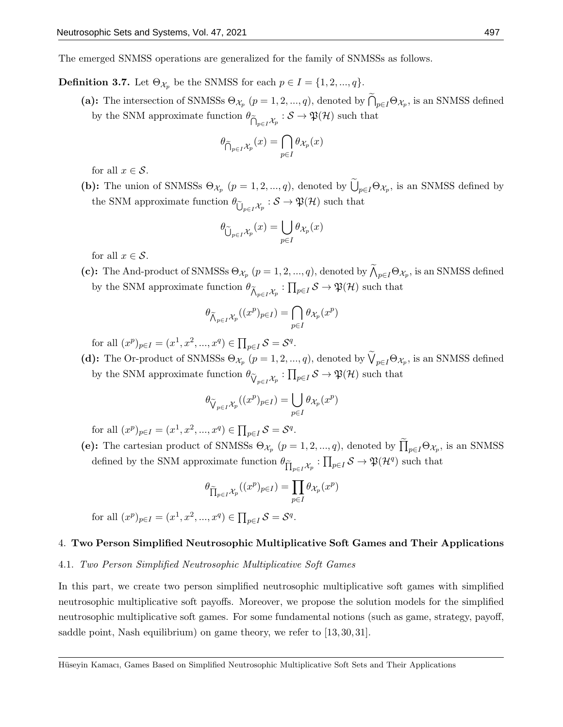The emerged SNMSS operations are generalized for the family of SNMSSs as follows.

**Definition 3.7.** Let  $\Theta_{\mathcal{X}_p}$  be the SNMSS for each  $p \in I = \{1, 2, ..., q\}$ .

(a): The intersection of SNMSSs  $\Theta_{\mathcal{X}_p}$   $(p = 1, 2, ..., q)$ , denoted by  $\bigcap_{p \in I} \Theta_{\mathcal{X}_p}$ , is an SNMSS defined by the SNM approximate function  $\theta_{\widetilde{\bigcap}_{p\in I} \mathcal{X}_p} : S \to \mathfrak{P}(\mathcal{H})$  such that

$$
\theta_{\widetilde{\bigcap}_{p\in I}\mathcal{X}_p}(x)=\bigcap_{p\in I}\theta_{\mathcal{X}_p}(x)
$$

for all  $x \in \mathcal{S}$ .

(b): The union of SNMSSs  $\Theta_{\mathcal{X}_p}$   $(p = 1, 2, ..., q)$ , denoted by  $\bigcup_{p \in I} \Theta_{\mathcal{X}_p}$ , is an SNMSS defined by the SNM approximate function  $\theta_{\widetilde{U}_{p\in I}\mathcal{X}_p}: \mathcal{S} \to \mathfrak{P}(\mathcal{H})$  such that

$$
\theta_{\widetilde{\bigcup}_{p\in I}\mathcal{X}_p}(x)=\bigcup_{p\in I}\theta_{\mathcal{X}_p}(x)
$$

for all  $x \in \mathcal{S}$ .

(c): The And-product of SNMSSs  $\Theta_{\mathcal{X}_p}$   $(p = 1, 2, ..., q)$ , denoted by  $\bigwedge_{p \in I} \Theta_{\mathcal{X}_p}$ , is an SNMSS defined by the SNM approximate function  $\theta_{\widetilde{\Lambda}_{p\in I}\mathcal{X}_p} : \prod_{p\in I} \mathcal{S} \to \mathfrak{P}(\mathcal{H})$  such that

$$
\theta_{\widetilde{\bigwedge}_{p\in I}\mathcal{X}_p}((x^p)_{p\in I}) = \bigcap_{p\in I} \theta_{\mathcal{X}_p}(x^p)
$$

for all  $(x^p)_{p \in I} = (x^1, x^2, ..., x^q) \in \prod_{p \in I} S = S^q$ .

(d): The Or-product of SNMSSs  $\Theta_{\mathcal{X}_p}$   $(p = 1, 2, ..., q)$ , denoted by  $\bigvee_{p \in I} \Theta_{\mathcal{X}_p}$ , is an SNMSS defined by the SNM approximate function  $\theta_{\widetilde{V}_{p\in I}\mathcal{X}_p} : \prod_{p\in I} S \to \mathfrak{P}(\mathcal{H})$  such that

$$
\theta_{\widetilde{\bigvee}_{p\in I}\mathcal{X}_p}((x^p)_{p\in I})=\bigcup_{p\in I}\theta_{\mathcal{X}_p}(x^p)
$$

for all  $(x^p)_{p \in I} = (x^1, x^2, ..., x^q) \in \prod_{p \in I} S = S^q$ .

(e): The cartesian product of SNMSSs  $\Theta_{\mathcal{X}_p}$   $(p = 1, 2, ..., q)$ , denoted by  $\prod_{p \in I} \Theta_{\mathcal{X}_p}$ , is an SNMSS defined by the SNM approximate function  $\theta_{\prod_{p\in I}X_p} : \prod_{p\in I} S \to \mathfrak{P}(\mathcal{H}^q)$  such that

$$
\theta_{\widetilde{\prod}_{p\in I}\mathcal{X}_p}((x^p)_{p\in I})=\prod_{p\in I}\theta_{\mathcal{X}_p}(x^p)
$$

for all  $(x^p)_{p \in I} = (x^1, x^2, ..., x^q) \in \prod_{p \in I} S = S^q$ .

# 4. Two Person Simplified Neutrosophic Multiplicative Soft Games and Their Applications

# 4.1. Two Person Simplified Neutrosophic Multiplicative Soft Games

In this part, we create two person simplified neutrosophic multiplicative soft games with simplified neutrosophic multiplicative soft payoffs. Moreover, we propose the solution models for the simplified neutrosophic multiplicative soft games. For some fundamental notions (such as game, strategy, payoff, saddle point, Nash equilibrium) on game theory, we refer to [13, 30, 31].

Hüseyin Kamacı, Games Based on Simplified Neutrosophic Multiplicative Soft Sets and Their Applications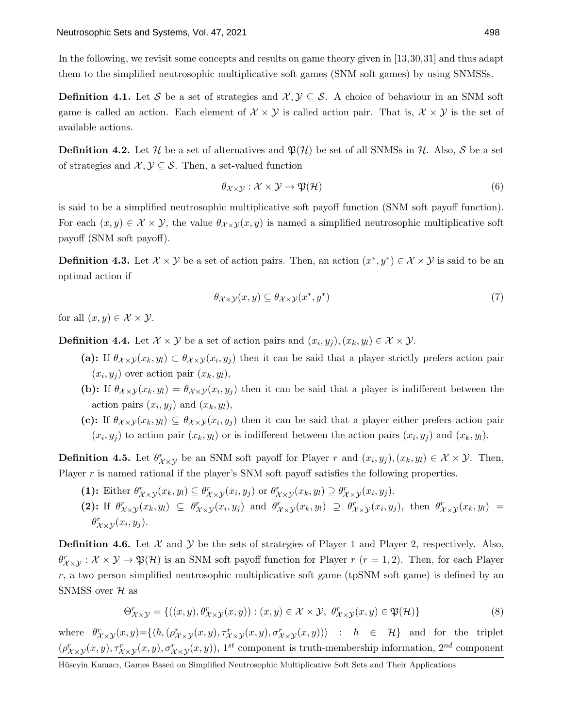In the following, we revisit some concepts and results on game theory given in [13,30,31] and thus adapt them to the simplified neutrosophic multiplicative soft games (SNM soft games) by using SNMSSs.

**Definition 4.1.** Let S be a set of strategies and  $\mathcal{X}, \mathcal{Y} \subseteq \mathcal{S}$ . A choice of behaviour in an SNM soft game is called an action. Each element of  $\mathcal{X} \times \mathcal{Y}$  is called action pair. That is,  $\mathcal{X} \times \mathcal{Y}$  is the set of available actions.

**Definition 4.2.** Let H be a set of alternatives and  $\mathfrak{P}(\mathcal{H})$  be set of all SNMSs in H. Also, S be a set of strategies and  $\mathcal{X}, \mathcal{Y} \subseteq \mathcal{S}$ . Then, a set-valued function

$$
\theta_{\mathcal{X}\times\mathcal{Y}}:\mathcal{X}\times\mathcal{Y}\to\mathfrak{P}(\mathcal{H})\tag{6}
$$

is said to be a simplified neutrosophic multiplicative soft payoff function (SNM soft payoff function). For each  $(x, y) \in \mathcal{X} \times \mathcal{Y}$ , the value  $\theta_{\mathcal{X} \times \mathcal{Y}}(x, y)$  is named a simplified neutrosophic multiplicative soft payoff (SNM soft payoff).

**Definition 4.3.** Let  $\mathcal{X} \times \mathcal{Y}$  be a set of action pairs. Then, an action  $(x^*, y^*) \in \mathcal{X} \times \mathcal{Y}$  is said to be an optimal action if

$$
\theta_{\mathcal{X}\times\mathcal{Y}}(x,y)\subseteq\theta_{\mathcal{X}\times\mathcal{Y}}(x^*,y^*)
$$
\n<sup>(7)</sup>

for all  $(x, y) \in \mathcal{X} \times \mathcal{Y}$ .

**Definition 4.4.** Let  $\mathcal{X} \times \mathcal{Y}$  be a set of action pairs and  $(x_i, y_j), (x_k, y_l) \in \mathcal{X} \times \mathcal{Y}$ .

- (a): If  $\theta_{\mathcal{X}\times\mathcal{Y}}(x_k, y_l) \subset \theta_{\mathcal{X}\times\mathcal{Y}}(x_i, y_j)$  then it can be said that a player strictly prefers action pair  $(x_i, y_j)$  over action pair  $(x_k, y_l)$ ,
- (b): If  $\theta_{\chi}(\mathbf{x}_k, y_l) = \theta_{\chi}(\mathbf{x}_i, y_j)$  then it can be said that a player is indifferent between the action pairs  $(x_i, y_j)$  and  $(x_k, y_l)$ ,
- (c): If  $\theta_{\mathcal{X}\times\mathcal{Y}}(x_k, y_l) \subseteq \theta_{\mathcal{X}\times\mathcal{Y}}(x_i, y_j)$  then it can be said that a player either prefers action pair  $(x_i, y_j)$  to action pair  $(x_k, y_l)$  or is indifferent between the action pairs  $(x_i, y_j)$  and  $(x_k, y_l)$ .

**Definition 4.5.** Let  $\theta_{\chi\times\chi}^r$  be an SNM soft payoff for Player r and  $(x_i, y_j), (x_k, y_l) \in \mathcal{X} \times \mathcal{Y}$ . Then, Player r is named rational if the player's SNM soft payoff satisfies the following properties.

- (1): Either  $\theta_{\mathcal{X}\times\mathcal{Y}}^r(x_k, y_l) \subseteq \theta_{\mathcal{X}\times\mathcal{Y}}^r(x_i, y_j)$  or  $\theta_{\mathcal{X}\times\mathcal{Y}}^r(x_k, y_l) \supseteq \theta_{\mathcal{X}\times\mathcal{Y}}^r(x_i, y_j)$ .
- (2): If  $\theta^r_{\mathcal{X}\times\mathcal{Y}}(x_k,y_l) \subseteq \theta^r_{\mathcal{X}\times\mathcal{Y}}(x_i,y_j)$  and  $\theta^r_{\mathcal{X}\times\mathcal{Y}}(x_k,y_l) \supseteq \theta^r_{\mathcal{X}\times\mathcal{Y}}(x_i,y_j)$ , then  $\theta^r_{\mathcal{X}\times\mathcal{Y}}(x_k,y_l) =$  $\theta_{\mathcal{X}\times\mathcal{Y}}^r(x_i,y_j)$ .

**Definition 4.6.** Let  $\mathcal{X}$  and  $\mathcal{Y}$  be the sets of strategies of Player 1 and Player 2, respectively. Also,  $\theta_{\mathcal{X}\times\mathcal{Y}}^r : \mathcal{X}\times\mathcal{Y}\to\mathfrak{P}(\mathcal{H})$  is an SNM soft payoff function for Player  $r$   $(r=1,2)$ . Then, for each Player  $r$ , a two person simplified neutrosophic multiplicative soft game (tpSNM soft game) is defined by an SNMSS over  $H$  as

$$
\Theta_{\mathcal{X}\times\mathcal{Y}}^{\mathcal{F}} = \{((x,y),\theta_{\mathcal{X}\times\mathcal{Y}}^{\mathcal{F}}(x,y)) : (x,y) \in \mathcal{X} \times \mathcal{Y}, \ \theta_{\mathcal{X}\times\mathcal{Y}}^{\mathcal{F}}(x,y) \in \mathfrak{P}(\mathcal{H})\}
$$
(8)

where  $\theta_{\mathcal{X}\times\mathcal{Y}}^r(x,y)=\{\langle \hbar, (\rho_{\mathcal{X}\times\mathcal{Y}}^r(x,y), \tau_{\mathcal{X}\times\mathcal{Y}}^r(x,y), \sigma_{\mathcal{X}\times\mathcal{Y}}^r(x,y)) \rangle : \hbar \in \mathcal{H}\}\$ and for the triplet  $(\rho^r_{\mathcal{X}\times\mathcal{Y}}(x,y),\tau^r_{\mathcal{X}\times\mathcal{Y}}(x,y),\sigma^r_{\mathcal{X}\times\mathcal{Y}}(x,y)),$  1<sup>st</sup> component is truth-membership information, 2<sup>nd</sup> component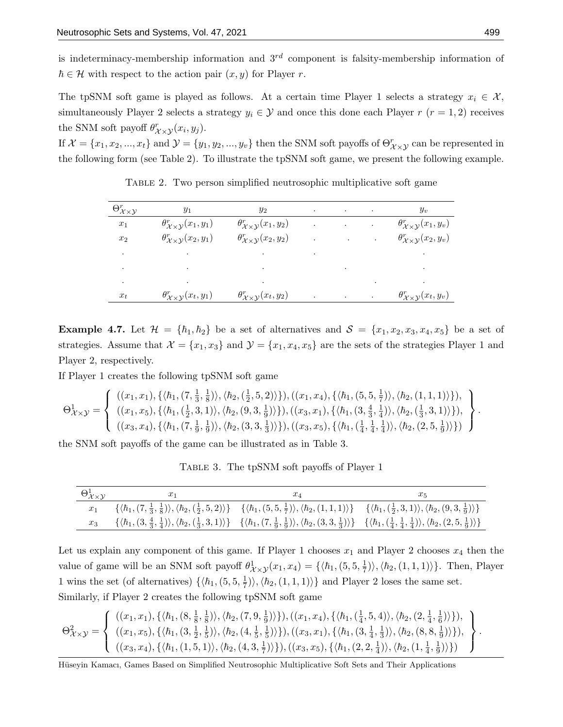is indeterminacy-membership information and  $3^{rd}$  component is falsity-membership information of  $\hbar \in \mathcal{H}$  with respect to the action pair  $(x, y)$  for Player r.

The tpSNM soft game is played as follows. At a certain time Player 1 selects a strategy  $x_i \in \mathcal{X}$ , simultaneously Player 2 selects a strategy  $y_i \in \mathcal{Y}$  and once this done each Player  $r$  ( $r = 1, 2$ ) receives the SNM soft payoff  $\theta_{\mathcal{X}\times\mathcal{Y}}^r(x_i,y_j)$ .

If  $\mathcal{X} = \{x_1, x_2, ..., x_t\}$  and  $\mathcal{Y} = \{y_1, y_2, ..., y_v\}$  then the SNM soft payoffs of  $\Theta_{\mathcal{X}\times\mathcal{Y}}^r$  can be represented in the following form (see Table 2). To illustrate the tpSNM soft game, we present the following example.

| $\Theta^r_{\mathcal{X}\times\mathcal{Y}}$ | $y_1$                                                                           | $y_2$                                                |                      | the control of the control of the                                                                                                  |               | $y_v$                                                       |
|-------------------------------------------|---------------------------------------------------------------------------------|------------------------------------------------------|----------------------|------------------------------------------------------------------------------------------------------------------------------------|---------------|-------------------------------------------------------------|
| $\boldsymbol{x}_1$                        | $\theta_{\mathcal{X}\times\mathcal{Y}}^r(x_1,y_1)$                              | $\theta_{\mathcal{X}\times\mathcal{Y}}^{r}(x_1,y_2)$ | $\ddot{\phantom{1}}$ | $\mathcal{L}(\mathcal{L}^{\mathcal{L}})$ and $\mathcal{L}(\mathcal{L}^{\mathcal{L}})$ and $\mathcal{L}(\mathcal{L}^{\mathcal{L}})$ |               | $\theta_{\mathcal{X}\times\mathcal{Y}}^{r}(x_1,y_v)$        |
| $x_2$                                     | $\theta_{\mathcal{X}\times\mathcal{Y}}^{r}(x_2,y_1)$                            | $\theta_{\mathcal{X}\times\mathcal{Y}}^{r}(x_2,y_2)$ | $\ddot{\phantom{0}}$ | and the control of the con-                                                                                                        | $\sim$        | $\theta_{\mathcal{X}\times\mathcal{Y}}^r(x_2,y_v)$          |
| ٠                                         | the contract of the contract of the contract of the contract of the contract of |                                                      |                      |                                                                                                                                    |               |                                                             |
| $\bullet$                                 | and the state of the state                                                      | and the state of the                                 |                      |                                                                                                                                    |               | the control of the control of the control of the control of |
| $\bullet$                                 | $\bullet$                                                                       | $\bullet$                                            |                      |                                                                                                                                    | $\sim$ $\sim$ |                                                             |
| $x_t$                                     | $\theta_{\mathcal{X}\times\mathcal{Y}}^r(x_t,y_1)$                              | $\theta_{\mathcal{X}\times\mathcal{Y}}^{r}(x_t,y_2)$ | $\bullet$            | the control of the control of the                                                                                                  |               | $\theta_{\mathcal{X}\times\mathcal{Y}}^{r}(x_t,y_v)$        |

Table 2. Two person simplified neutrosophic multiplicative soft game

**Example 4.7.** Let  $\mathcal{H} = \{\hbar_1, \hbar_2\}$  be a set of alternatives and  $\mathcal{S} = \{x_1, x_2, x_3, x_4, x_5\}$  be a set of strategies. Assume that  $\mathcal{X} = \{x_1, x_3\}$  and  $\mathcal{Y} = \{x_1, x_4, x_5\}$  are the sets of the strategies Player 1 and Player 2, respectively.

If Player 1 creates the following tpSNM soft game

$$
\Theta_{\mathcal{X}\times\mathcal{Y}}^{1} = \left\{\n\begin{array}{l}\n((x_{1}, x_{1}), \{\langle h_{1}, (7, \frac{1}{3}, \frac{1}{8})\rangle, \langle h_{2}, (\frac{1}{2}, 5, 2)\rangle\}\n), ((x_{1}, x_{4}), \{\langle h_{1}, (5, 5, \frac{1}{7})\rangle, \langle h_{2}, (1, 1, 1)\rangle\}\n), \\
((x_{1}, x_{5}), \{\langle h_{1}, (\frac{1}{2}, 3, 1)\rangle, \langle h_{2}, (9, 3, \frac{1}{9})\rangle\}\n), ((x_{3}, x_{1}), \{\langle h_{1}, (3, \frac{4}{3}, \frac{1}{4})\rangle, \langle h_{2}, (\frac{1}{3}, 3, 1)\rangle\}\n), \\
((x_{3}, x_{4}), \{\langle h_{1}, (7, \frac{1}{9}, \frac{1}{9})\rangle, \langle h_{2}, (3, 3, \frac{1}{3})\rangle\}\n), ((x_{3}, x_{5}), \{\langle h_{1}, (\frac{1}{4}, \frac{1}{4}, \frac{1}{4})\rangle, \langle h_{2}, (2, 5, \frac{1}{9})\rangle\}\n\end{array}\n\right\}.
$$

the SNM soft payoffs of the game can be illustrated as in Table 3.

Table 3. The tpSNM soft payoffs of Player 1

| $\Theta^1_{\mathcal{X}\times\mathcal{Y}}$ | $x_1$                                                                                                                                                                                                                                                                                                        | $x_4$                                                                                                                                                                                                                                                                                              | Ж5 |
|-------------------------------------------|--------------------------------------------------------------------------------------------------------------------------------------------------------------------------------------------------------------------------------------------------------------------------------------------------------------|----------------------------------------------------------------------------------------------------------------------------------------------------------------------------------------------------------------------------------------------------------------------------------------------------|----|
|                                           |                                                                                                                                                                                                                                                                                                              | $\{\langle \hbar_1, (7, \frac{1}{3}, \frac{1}{8}) \rangle, \langle \hbar_2, (\frac{1}{2}, 5, 2) \rangle\}$ $\{\langle \hbar_1, (5, 5, \frac{1}{7}) \rangle, \langle \hbar_2, (1, 1, 1) \rangle\}$ $\{\langle \hbar_1, (\frac{1}{2}, 3, 1) \rangle, \langle \hbar_2, (9, 3, \frac{1}{9}) \rangle\}$ |    |
| $x_3$                                     | $\{\langle\hbar_1,(3,\frac{4}{3},\frac{1}{4})\rangle,\langle\hbar_2,(\frac{1}{3},3,1)\rangle\}\$ $\{\langle\hbar_1,(7,\frac{1}{9},\frac{1}{9})\rangle,\langle\hbar_2,(3,3,\frac{1}{3})\rangle\}\$ $\{\langle\hbar_1,(\frac{1}{4},\frac{1}{4},\frac{1}{4})\rangle,\langle\hbar_2,(2,5,\frac{1}{9})\rangle\}\$ |                                                                                                                                                                                                                                                                                                    |    |

Let us explain any component of this game. If Player 1 chooses  $x_1$  and Player 2 chooses  $x_4$  then the value of game will be an SNM soft payoff  $\theta_{\mathcal{X}\times\mathcal{Y}}^1(x_1, x_4) = \{\langle \hbar_1, (5, 5, \frac{1}{7}, \frac{1}{7}, 5, 5, \frac{1}{7}, \frac{1}{7}, \frac{1}{7}, \frac{1}{7}, \frac{1}{7}, \frac{1}{7}, \frac{1}{7}, \frac{1}{7}, \frac{1}{7}, \frac{1}{7}, \frac{1}{7}, \frac{1}{7}, \frac{1}{7}, \frac{1}{7}, \frac{1}{7}, \frac{1}{7}, \frac{1}{$  $\frac{1}{7}$  $\rangle$ ,  $\langle \hbar_2, (1, 1, 1) \rangle$ . Then, Player 1 wins the set (of alternatives)  $\{\langle \hbar_1,(5,5,\frac{1}{7})\rangle\}$  $\langle \frac{1}{7} \rangle \rangle, \langle \hbar_2, (1,1,1) \rangle$  and Player 2 loses the same set. Similarly, if Player 2 creates the following tpSNM soft game

$$
\Theta_{\mathcal{X}\times\mathcal{Y}}^{2} = \left\{\n\begin{array}{l}\n((x_{1}, x_{1}), \{\langle \hbar_{1}, (8, \frac{1}{8}, \frac{1}{8}) \rangle, \langle \hbar_{2}, (7, 9, \frac{1}{9}) \rangle\}), ((x_{1}, x_{4}), \{\langle \hbar_{1}, (\frac{1}{4}, 5, 4) \rangle, \langle \hbar_{2}, (2, \frac{1}{4}, \frac{1}{6}) \rangle\}\}, \\
((x_{1}, x_{5}), \{\langle \hbar_{1}, (3, \frac{1}{2}, \frac{1}{5}) \rangle\}, \langle \hbar_{2}, (4, \frac{1}{5}, \frac{1}{5}) \rangle\}), ((x_{3}, x_{1}), \{\langle \hbar_{1}, (3, \frac{1}{4}, \frac{1}{3}) \rangle, \langle \hbar_{2}, (8, 8, \frac{1}{9}) \rangle\}\}, \\
((x_{3}, x_{4}), \{\langle \hbar_{1}, (1, 5, 1) \rangle, \langle \hbar_{2}, (4, 3, \frac{1}{7}) \rangle\}\}, ((x_{3}, x_{5}), \{\langle \hbar_{1}, (2, 2, \frac{1}{4}) \rangle, \langle \hbar_{2}, (1, \frac{1}{4}, \frac{1}{9}) \rangle\}\}\n\end{array}\n\right\}.
$$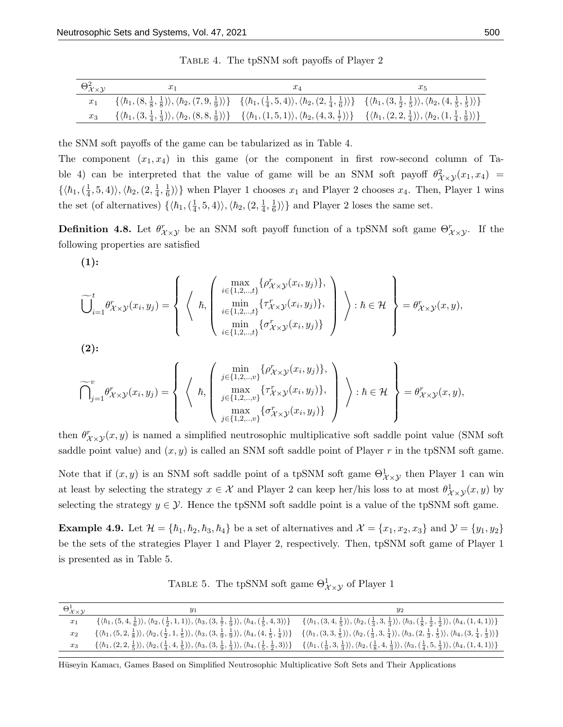| $\Theta_{\mathcal{X}\times\mathcal{Y}}^2$ | $x_1$                                                                                                                                                                                                                                                                                          | XЛ                                                                                                                                                                                                                                                                                                                                 |  |
|-------------------------------------------|------------------------------------------------------------------------------------------------------------------------------------------------------------------------------------------------------------------------------------------------------------------------------------------------|------------------------------------------------------------------------------------------------------------------------------------------------------------------------------------------------------------------------------------------------------------------------------------------------------------------------------------|--|
|                                           |                                                                                                                                                                                                                                                                                                | $\{\langle \hbar_1, (8, \frac{1}{8}, \frac{1}{8}), \langle \hbar_2, (7, 9, \frac{1}{9}) \rangle\}$ $\{\langle \hbar_1, (\frac{1}{4}, 5, 4) \rangle, \langle \hbar_2, (2, \frac{1}{4}, \frac{1}{6}) \rangle\}$ $\{\langle \hbar_1, (3, \frac{1}{2}, \frac{1}{5}) \rangle, \langle \hbar_2, (4, \frac{1}{5}, \frac{1}{5}) \rangle\}$ |  |
|                                           | $x_3 \quad \{\langle h_1, (3, \frac{1}{4}, \frac{1}{3})\rangle, \langle h_2, (8, 8, \frac{1}{9})\rangle\} \quad \{\langle h_1, (1,5,1)\rangle, \langle h_2, (4, 3, \frac{1}{7})\rangle\} \quad \{\langle h_1, (2, 2, \frac{1}{4})\rangle, \langle h_2, (1, \frac{1}{4}, \frac{1}{9})\rangle\}$ |                                                                                                                                                                                                                                                                                                                                    |  |

Table 4. The tpSNM soft payoffs of Player 2

the SNM soft payoffs of the game can be tabularized as in Table 4.

The component  $(x_1, x_4)$  in this game (or the component in first row-second column of Table 4) can be interpreted that the value of game will be an SNM soft payoff  $\theta_{\mathcal{X}\times\mathcal{Y}}^2(x_1, x_4)$  $\{\langle \hbar_1, (\frac{1}{4}$  $\langle \varphi_4, 5, 4 \rangle \rangle, \langle \hbar_2, (2, \frac{1}{4})$  $\frac{1}{4}, \frac{1}{6}$  $\{\frac{1}{6}\}\$  when Player 1 chooses  $x_1$  and Player 2 chooses  $x_4$ . Then, Player 1 wins the set (of alternatives)  $\{\langle \hbar_1, (\frac{1}{4}, \cdot)\rangle\}$  $\langle \varphi_4,5,4\rangle\rangle, \langle \hbar_2,(2,{\textstyle\frac{1}{4}}% )\varphi_4,4\rangle$  $\frac{1}{4}, \frac{1}{6}$  $\left(\frac{1}{6}\right)$ } and Player 2 loses the same set.

**Definition 4.8.** Let  $\theta_{\chi\times\chi}^r$  be an SNM soft payoff function of a tpSNM soft game  $\Theta_{\chi\times\chi}^r$ . If the following properties are satisfied

 $(1):$ 

$$
\widetilde{\bigcup}_{i=1}^t \theta_{\mathcal{X}\times\mathcal{Y}}^r(x_i, y_j) = \left\{ \left\langle \begin{array}{c} \left\{ \begin{array}{c} \max \\ i \in \{1, 2, \ldots, t\}} \{\theta_{\mathcal{X}\times\mathcal{Y}}^r(x_i, y_j)\}, \\ \min \limits_{i \in \{1, 2, \ldots, t\}} \{\tau_{\mathcal{X}\times\mathcal{Y}}^r(x_i, y_j)\}, \\ \min \limits_{i \in \{1, 2, \ldots, t\}} \{\sigma_{\mathcal{X}\times\mathcal{Y}}^r(x_i, y_j)\} \end{array} \right\rangle \right\} : \hbar \in \mathcal{H} \end{array} \right\} = \theta_{\mathcal{X}\times\mathcal{Y}}^r(x, y),
$$

(2):

$$
\widetilde{\bigcap}_{j=1}^{v} \theta_{\mathcal{X}\times\mathcal{Y}}^{r}(x_i, y_j) = \left\{ \left\langle \begin{array}{c} \underset{j \in \{1, 2, \ldots, v\}}{\min} \{\rho_{\mathcal{X}\times\mathcal{Y}}^{r}(x_i, y_j)\}, \\ \underset{j \in \{1, 2, \ldots, v\}}{\max} \{\tau_{\mathcal{X}\times\mathcal{Y}}^{r}(x_i, y_j)\}, \\ \underset{j \in \{1, 2, \ldots, v\}}{\max} \{\sigma_{\mathcal{X}\times\mathcal{Y}}^{r}(x_i, y_j)\} \end{array} \right\} \right\} : \hbar \in \mathcal{H} \right\} = \theta_{\mathcal{X}\times\mathcal{Y}}^{r}(x, y),
$$

then  $\theta_{\mathcal{X}\times\mathcal{Y}}^{r}(x,y)$  is named a simplified neutrosophic multiplicative soft saddle point value (SNM soft saddle point value) and  $(x, y)$  is called an SNM soft saddle point of Player r in the tpSNM soft game.

Note that if  $(x, y)$  is an SNM soft saddle point of a tpSNM soft game  $\Theta^1_{\mathcal{X}\times\mathcal{Y}}$  then Player 1 can win at least by selecting the strategy  $x \in \mathcal{X}$  and Player 2 can keep her/his loss to at most  $\theta^1_{\mathcal{X}\times\mathcal{Y}}(x,y)$  by selecting the strategy  $y \in \mathcal{Y}$ . Hence the tpSNM soft saddle point is a value of the tpSNM soft game.

**Example 4.9.** Let  $\mathcal{H} = \{\hbar_1, \hbar_2, \hbar_3, \hbar_4\}$  be a set of alternatives and  $\mathcal{X} = \{x_1, x_2, x_3\}$  and  $\mathcal{Y} = \{y_1, y_2\}$ be the sets of the strategies Player 1 and Player 2, respectively. Then, tpSNM soft game of Player 1 is presented as in Table 5.

TABLE 5. The tpSNM soft game  $\Theta_{\mathcal{X}\times\mathcal{Y}}^1$  of Player 1

| $\Theta^1_{\mathcal{X}\times\mathcal{Y}}$ | $y_1$ |                                                                                                                                                                                                                                                                                                                                                                                                 |
|-------------------------------------------|-------|-------------------------------------------------------------------------------------------------------------------------------------------------------------------------------------------------------------------------------------------------------------------------------------------------------------------------------------------------------------------------------------------------|
| $x_1$                                     |       | $\{\langle h_1,(5,4,\frac{1}{6})\rangle,\langle h_2,(\frac{1}{2},1,1)\rangle,\langle h_3,(3,\frac{1}{7},\frac{1}{6})\rangle,\langle h_4,(\frac{1}{5},4,3)\rangle\} \qquad \{\langle h_1,(3,4,\frac{1}{5})\rangle,\langle h_2,(\frac{1}{3},3,\frac{1}{3})\rangle,\langle h_3,(\frac{1}{8},\frac{1}{2},\frac{1}{2})\rangle,\langle h_4,(1,4,1)\rangle\}$                                          |
| $x_2$                                     |       | $\{\langle h_1, (5,2,\frac{1}{8})\rangle, \langle h_2, (\frac{1}{2},1,\frac{1}{5})\rangle, \langle h_3, (3,\frac{1}{9},\frac{1}{9})\rangle, \langle h_4, (4,\frac{1}{5},\frac{1}{4})\rangle\}$ $\{\langle h_1, (3,3,\frac{1}{5})\rangle, \langle h_2, (\frac{1}{3},3,\frac{1}{4})\rangle\}, \langle h_3, (2,\frac{1}{3},\frac{1}{5})\rangle, \langle h_4, (3,\frac{1}{4},\frac{1}{3})\rangle\}$ |
| $x_3$                                     |       | $\{\langle h_1, (2,2,\frac{1}{5})\rangle, \langle h_2, (\frac{1}{4},4,\frac{1}{5})\rangle, \langle h_3, (3,\frac{1}{9},\frac{1}{3})\rangle, \langle h_4, (\frac{1}{5},\frac{1}{2},3)\rangle\} \quad \{\langle h_1, (\frac{1}{9},3,\frac{1}{3})\rangle, \langle h_2, (\frac{1}{8},4,\frac{1}{3})\rangle, \langle h_3, (\frac{1}{4},5,\frac{1}{3})\rangle, \langle h_4, (1,4,1)\rangle\}$         |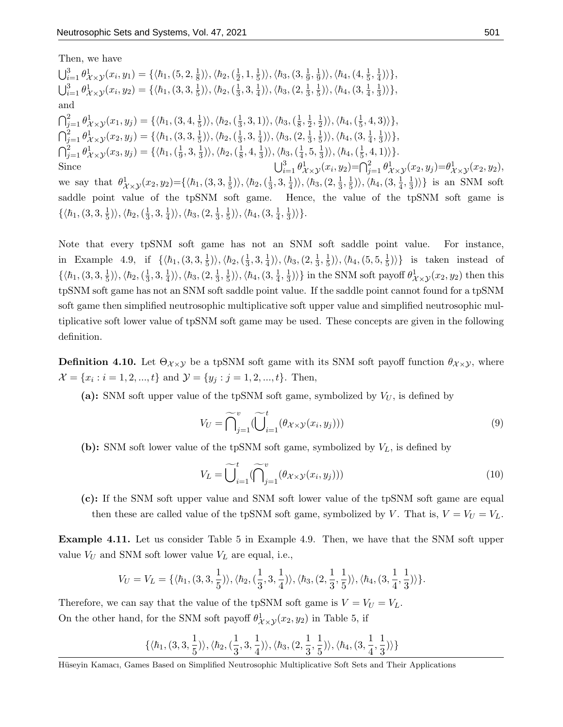Then, we have

 $\bigcup_{i=1}^{3} \theta_{\mathcal{X}\times\mathcal{Y}}^{1}(x_i, y_1) = \{\langle \hbar_1, (5, 2, \frac{1}{8}, \frac{1}{8}, \frac{1}{8}, \frac{1}{8}, \frac{1}{8}, \frac{1}{8}, \frac{1}{8}, \frac{1}{8}\rangle\}$  $\langle \hbar_2, (\frac{1}{2} \$  $\frac{1}{2}$ , 1,  $\frac{1}{5}$  $|\frac{1}{5})\rangle,\langle\hbar_3,(3,\frac{1}{9}% )\rangle$  $\frac{1}{9}, \frac{1}{9}$  $\ket{\frac{1}{9}}\rangle,\langle\hbar_4,(4,\frac{1}{5}% ,\overline{4},\underline{5},\underline{6},\underline{6},\underline{7})\rangle$  $\frac{1}{5}, \frac{1}{4}$  $\frac{1}{4})\rangle\},$  $\bigcup_{i=1}^{3} \theta_{\mathcal{X} \times \mathcal{Y}}^{1}(x_i, y_2) = \{ \langle h_1, (3, 3, \frac{1}{5}) \rangle \}$  $|\frac{1}{5})\rangle,\langle\hbar_2,(\frac{1}{3}% )\rangle$  $\frac{1}{3}$ , 3,  $\frac{1}{4}$  $\frac{1}{4})\rangle,\langle\hbar_{3},(2,\frac{1}{3}% ,\overline{3})\rangle$  $\frac{1}{3}, \frac{1}{5}$  $|\frac{1}{5})\rangle,\langle\hbar_4,(3,\frac{1}{4}% )\rangle$  $\frac{1}{4}, \frac{1}{3}$  $\frac{1}{3})\rangle\},$ and  $\bigcap_{j=1}^2 \theta_{\mathcal{X}\times\mathcal{Y}}^1(x_1,y_j)=\{\langle \hbar_1,(3,4,\frac{1}{5})\rangle$  $|\frac{1}{5})\rangle,\langle\hbar_2,(\frac{1}{3}% )\rangle$  $\langle \bar{n}_3,3,1)\rangle,\langle \bar{n}_3,(\frac{1}{8}\$  $\frac{1}{8}, \frac{1}{2}$  $\frac{1}{2}, \frac{1}{2}$  $\ket{\frac{1}{2}}\rangle,\langle\hbar_4,(\frac{1}{5}% ,\phantom{a}1_{\phantom{a})}\rangle$  $\frac{1}{5}, 4, 3)\rangle\},$  $\bigcap_{j=1}^2 \theta^1_{\mathcal{X} \times \mathcal{Y}}(x_2, y_j) = \{ \langle h_1, (3, 3, \frac{1}{5}) \rangle \}$  $\ket{\frac{1}{5}}\rangle, \langle \hbar_2, (\frac{1}{3}$  $\frac{1}{3}$ , 3,  $\frac{1}{4}$  $\ket{\frac{1}{4}}\rangle, \langle \hbar_3,(2,\frac{1}{3}% )\rangle$  $\frac{1}{3}, \frac{1}{5}$  $\ket{\frac{1}{5}}\rangle,\langle\hbar_4,(3,\frac{1}{4}% )\rangle$  $\frac{1}{4}, \frac{1}{3}$  $\frac{1}{3})\rangle\},$  $\bigcap_{j=1}^2 \theta_{\mathcal{X} \times \mathcal{Y}}^1(x_3, y_j) = \{ \langle \hbar_1, (\frac{1}{9}) \rangle \}$  $\frac{1}{9}$ , 3,  $\frac{1}{3}$  $\ket{\frac{1}{3}}\rangle,\langle\hbar_2,(\frac{1}{8}$  $\frac{1}{8}$ , 4,  $\frac{1}{3}$  $\ket{\frac{1}{3}}\rangle,\langle\hbar_3,(\frac{1}{4}% ,\overline{b}_3,\overline{b}_4)\rangle$  $\frac{1}{4}$ , 5,  $\frac{1}{3}$  $\ket{\frac{1}{3}}\rangle,\langle\hbar_4,(\frac{1}{5}% ,\overline{b}_4,(\overline{b}_4),(\overline{b}_4,(\overline{b}_4),(\overline{b}_4),(\overline{b}_4),(\overline{b}_4),(\overline{b}_4),(\overline{b}_4),(\overline{b}_4),(\overline{b}_4),(\overline{b}_4),(\overline{b}_4),(\overline{b}_4),(\overline{b}_4),(\overline{b}_4),(\overline{b}_4),(\overline{b}_4),(\overline{b}_4),(\overline{b}_4),(\overline{b}_4),(\overline{b}_4),(\overline{b}_4),(\overline{b}_4),(\$  $\frac{1}{5}, 4, 1)\rangle\}.$ Since  $\bigcup_{i=1}^{3}$  $\int_{i=1}^{3} \theta_{\mathcal{X}\times\mathcal{Y}}^{1}(x_i, y_2) = \bigcap_{j=1}^{2} \theta_{\mathcal{X}\times\mathcal{Y}}^{1}(x_2, y_j) = \theta_{\mathcal{X}\times\mathcal{Y}}^{1}(x_2, y_2),$ we say that  $\theta_{\mathcal{X}\times\mathcal{Y}}^1(x_2,y_2) = \{ \langle h_1, (3, 3, \frac{1}{5}, \frac{1}{5}, h_1), (3, 3, \frac{1}{5}, h_2), (h_1, h_2), (h_2, h_3), (h_2, h_2), (h_2, h_3), (h_2, h_3), (h_3, h_3), (h_3, h_3), (h_3, h_3), (h_3, h_3), (h_3, h_3), (h_3, h_3), (h_3, h_3), (h_3, h_3), (h_3, h_3), (h_3, h_$  $\ket{\frac{1}{5}}\rangle,\langle\hbar_2,(\frac{1}{3}% ,\overline{\omega}_3),(\overline{\omega}_1,\overline{\omega}_2)\rangle$  $\frac{1}{3}$ , 3,  $\frac{1}{4}$  $\langle \hbar_3,(2,\frac{1}{3}% )\rangle$  $\frac{1}{3}, \frac{1}{5}$  $\ket{\frac{1}{5}}\rangle,\langle\hbar_4,(3,\frac{1}{4}% )\rangle$  $\frac{1}{4}, \frac{1}{3}$  $\langle \frac{1}{3} \rangle$ } is an SNM soft saddle point value of the tpSNM soft game. Hence, the value of the tpSNM soft game is  $\{\langle \hbar_1,(3,3,\frac{1}{5}% ,4,4,4\rangle\}$  $\frac{1}{5})\rangle,\langle\hbar_2,(\frac{1}{3}% )\rangle$  $\frac{1}{3}$ , 3,  $\frac{1}{4}$  $\frac{1}{4})\rangle,\langle\hbar_{3},(2,\frac{1}{3}% ,\overline{3})\rangle$  $\frac{1}{3}, \frac{1}{5}$  $\langle \hbar_4,(3,\frac{1}{4}% )\rangle$  $\frac{1}{4}, \frac{1}{3}$  $\frac{1}{3})\rangle$ .

Note that every tpSNM soft game has not an SNM soft saddle point value. For instance, in Example 4.9, if  $\{\langle \hbar_1, (3, 3, \frac{1}{5}, \mathbf{5}, \mathbf{6}, \mathbf{8}, \mathbf{8}, \mathbf{9}, \mathbf{9}, \mathbf{1}\rangle\}$  $\ket{\frac{1}{5}}\rangle,\langle\hbar_2,(\frac{1}{3}% ,\overline{\omega}_3),(\overline{\omega}_1,\overline{\omega}_2)\rangle$  $\frac{1}{3}$ , 3,  $\frac{1}{4}$  $\ket{\frac{1}{4}}\rangle,\langle\hbar_3,(2,\frac{1}{3}% )\rangle$  $\frac{1}{3}, \frac{1}{5}$  $|\frac{1}{5})\rangle,\langle\hbar_4,(5,5,\frac{1}{5}% )\rangle$  $\left\{\frac{1}{5}\right\}\right\}$  is taken instead of  $\{\langle \hbar_1, (3, 3, \frac{1}{5}$  $\ket{\frac{1}{5}}\rangle,\langle\hbar_2,(\frac{1}{3}% ,\overline{\omega}_3),(\overline{\omega}_2,\overline{\omega}_4)\rangle$  $\frac{1}{3}$ , 3,  $\frac{1}{4}$  $\frac{1}{4})\rangle,\langle\hbar_{3},(2,\frac{1}{3}% ,\overline{3})\rangle$  $\frac{1}{3}, \frac{1}{5}$  $\ket{\frac{1}{5}}\rangle,\langle\hbar_4,(3,\frac{1}{4}% )\rangle$  $\frac{1}{4}, \frac{1}{3}$  $\{\frac{1}{3}\}\$  in the SNM soft payoff  $\theta_{\mathcal{X}\times\mathcal{Y}}^1(x_2, y_2)$  then this tpSNM soft game has not an SNM soft saddle point value. If the saddle point cannot found for a tpSNM soft game then simplified neutrosophic multiplicative soft upper value and simplified neutrosophic multiplicative soft lower value of tpSNM soft game may be used. These concepts are given in the following definition.

**Definition 4.10.** Let  $\Theta_{\chi\times\chi}$  be a tpSNM soft game with its SNM soft payoff function  $\theta_{\chi\times\chi}$ , where  $\mathcal{X} = \{x_i : i = 1, 2, ..., t\}$  and  $\mathcal{Y} = \{y_j : j = 1, 2, ..., t\}$ . Then,

(a): SNM soft upper value of the tpSNM soft game, symbolized by  $V_U$ , is defined by

$$
V_U = \widehat{\bigcap}_{j=1}^v (\widetilde{\bigcup}_{i=1}^t (\theta_{\mathcal{X}\times\mathcal{Y}}(x_i, y_j)))
$$
\n(9)

(b): SNM soft lower value of the tpSNM soft game, symbolized by  $V_L$ , is defined by

$$
V_L = \widetilde{\bigcup}_{i=1}^t (\widetilde{\bigcap}_{j=1}^v (\theta_{\mathcal{X}\times\mathcal{Y}}(x_i, y_j)))
$$
\n(10)

(c): If the SNM soft upper value and SNM soft lower value of the tpSNM soft game are equal then these are called value of the tpSNM soft game, symbolized by V. That is,  $V = V_U = V_L$ .

Example 4.11. Let us consider Table 5 in Example 4.9. Then, we have that the SNM soft upper value  $V_U$  and SNM soft lower value  $V_L$  are equal, i.e.,

$$
V_U=V_L=\{\langle\hbar_1,(3,3,\frac{1}{5})\rangle,\langle\hbar_2,(\frac{1}{3},3,\frac{1}{4})\rangle,\langle\hbar_3,(2,\frac{1}{3},\frac{1}{5})\rangle,\langle\hbar_4,(3,\frac{1}{4},\frac{1}{3})\rangle\}.
$$

Therefore, we can say that the value of the tpSNM soft game is  $V = V_U = V_L$ . On the other hand, for the SNM soft payoff  $\theta_{\mathcal{X}\times\mathcal{Y}}^1(x_2, y_2)$  in Table 5, if

$$
\{\langle\hbar_1,(3,3,\frac{1}{5})\rangle,\langle\hbar_2,(\frac{1}{3},3,\frac{1}{4})\rangle,\langle\hbar_3,(2,\frac{1}{3},\frac{1}{5})\rangle,\langle\hbar_4,(3,\frac{1}{4},\frac{1}{3})\rangle\}
$$

Hüseyin Kamacı, Games Based on Simplified Neutrosophic Multiplicative Soft Sets and Their Applications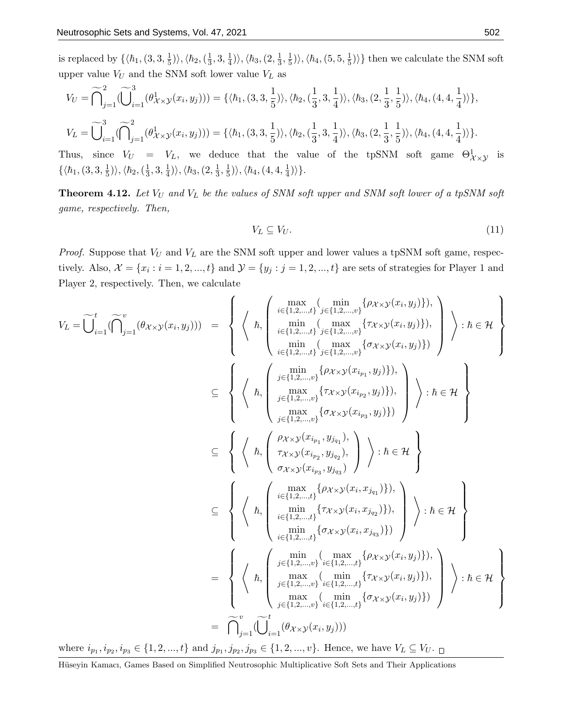is replaced by  $\{\langle \hbar_1,(3,3,\frac{1}{5})\rangle\}$  $\frac{1}{5})\rangle,\langle \hbar_2,(\frac{1}{3}% )\rangle$  $\frac{1}{3}$ , 3,  $\frac{1}{4}$  $\frac{1}{4})\rangle,\langle\hbar_3,(2,\frac{1}{3}% )\rangle$  $\frac{1}{3}, \frac{1}{5}$  $\langle \hbar_4,(\hskip-1.5pt\scriptstyle{5},\hskip-1.5pt\scriptstyle{5},\hskip-1.5pt\scriptstyle{\frac{1}{5}}\hskip-1.5pt\scriptstyle{)}\rangle, \langle \hbar_4,(\hskip-1.5pt\scriptstyle{5},\hskip-1.5pt\scriptstyle{5},\hskip-1.5pt\scriptstyle{\frac{1}{5}}\hskip-1.5pt\scriptstyle{)}$  $\frac{1}{5}$ ) then we calculate the SNM soft upper value  $V_U$  and the SNM soft lower value  $V_L$  as

$$
V_U = \widetilde{\bigcap}_{j=1}^2 (\widetilde{\bigcup}_{i=1}^3 (\theta_{\mathcal{X}\times\mathcal{Y}}^1(x_i, y_j))) = \{ \langle \hbar_1, (3,3,\frac{1}{5}) \rangle, \langle \hbar_2, (\frac{1}{3},3,\frac{1}{4}) \rangle, \langle \hbar_3, (2,\frac{1}{3},\frac{1}{5}) \rangle, \langle \hbar_4, (4,4,\frac{1}{4}) \rangle \},
$$
  

$$
V_L = \widetilde{\bigcup}_{i=1}^3 (\widetilde{\bigcap}_{j=1}^2 (\theta_{\mathcal{X}\times\mathcal{Y}}^1(x_i, y_j))) = \{ \langle \hbar_1, (3,3,\frac{1}{5}) \rangle, \langle \hbar_2, (\frac{1}{3},3,\frac{1}{4}) \rangle, \langle \hbar_3, (2,\frac{1}{3},\frac{1}{5}) \rangle, \langle \hbar_4, (4,4,\frac{1}{4}) \rangle \}.
$$

Thus, since  $V_U = V_L$ , we deduce that the value of the tpSNM soft game  $\Theta^1_{\mathcal{X}\times\mathcal{Y}}$  is  $\{\langle \hbar_1,(3,3,\frac{1}{5}% ,4,4,4\rangle\}$  $\ket{\frac{1}{5}}\rangle,\langle\hbar_2,(\frac{1}{3}% ,\overline{\omega}_3),(\overline{\omega}_1,\overline{\omega}_2)\rangle$  $\frac{1}{3}$ , 3,  $\frac{1}{4}$  $\langle \hbar_3,(2,\frac{1}{3}% )\rangle$  $\frac{1}{3}, \frac{1}{5}$  $\ket{\frac{1}{5}}\rangle,\langle\hbar_4,(4,4,\frac{1}{4}%$  $\frac{1}{4})\rangle$ .

**Theorem 4.12.** Let  $V_U$  and  $V_L$  be the values of SNM soft upper and SNM soft lower of a tpSNM soft game, respectively. Then,

$$
V_L \subseteq V_U. \tag{11}
$$

*Proof.* Suppose that  $V_U$  and  $V_L$  are the SNM soft upper and lower values a tpSNM soft game, respectively. Also,  $\mathcal{X} = \{x_i : i = 1, 2, ..., t\}$  and  $\mathcal{Y} = \{y_j : j = 1, 2, ..., t\}$  are sets of strategies for Player 1 and Player 2, respectively. Then, we calculate

$$
V_{L} = \widetilde{\bigcup}_{i=1}^{t} (\widehat{\bigcap}_{j=1}^{v} (\theta_{X\times\mathcal{Y}}(x_{i}, y_{j}))) = \begin{cases} \left\langle h, \begin{pmatrix} \min_{i\in\{1,2,\ldots,t\}} \sum_{j\in\{1,2,\ldots,t\}} \left\{(\theta_{X\times\mathcal{Y}}(x_{i}, y_{j})\right\}, \\ \min_{i\in\{1,2,\ldots,t\}} \sum_{j\in\{1,2,\ldots,t\}} \left\{(\pi_{X\times\mathcal{Y}}(x_{i}, y_{j})\right\}, \\ \min_{i\in\{1,2,\ldots,t\}} \left\{(\pi_{X\times\mathcal{Y}}(x_{i}, y_{j})\right\}, \\ \min_{j\in\{1,2,\ldots,t\}} \left\{(\pi_{X\times\mathcal{Y}}(x_{i}, y_{j})\right\}, \\ \max_{j\in\{1,2,\ldots,t\}} \left\{(\pi_{X\times\mathcal{Y}}(x_{i}, y_{j}))\right\} \right\} \end{cases} ; h \in \mathcal{H} \end{cases}
$$
\n
$$
\subseteq \left\{ \left\langle h, \begin{pmatrix} \min_{j\in\{1,2,\ldots,t\}} \left\{(\pi_{X\times\mathcal{Y}}(x_{i}, y_{j})\right\}, \\ \max_{j\in\{1,2,\ldots,t\}} \left\{(\pi_{X\times\mathcal{Y}}(x_{i}, y_{j}))\right\} \\ \max_{j\in\{1,2,\ldots,t\}} \left\{(\pi_{X\times\mathcal{Y}}(x_{i}, y_{j}))\right\} \right\} \end{pmatrix} ; h \in \mathcal{H} \right\}
$$
\n
$$
\subseteq \left\{ \left\langle h, \begin{pmatrix} \max_{i\in\{1,2,\ldots,t\}} \left\{(\pi_{X\times\mathcal{Y}}(x_{i}, x_{j}, y_{j})\right\}, \\ \max_{i\in\{1,2,\ldots,t\}} \left\{(\pi_{X\times\mathcal{Y}}(x_{i}, x_{j}, y_{j}))\right\} \\ \min_{i\in\{1,2,\ldots,t\}} \left\{(\pi_{X\times\mathcal{Y}}(x_{i}, y_{j}))\right\} \right\} \end{pmatrix} ; h \in \mathcal{H} \right\}
$$
\n

where  $i_{p_1}, i_{p_2}, i_{p_3} \in \{1, 2, ..., t\}$  and  $j_{p_1}, j_{p_2}, j_{p_3} \in \{1, 2, ..., v\}$ . Hence, we have  $V_L \subseteq V_U$ .

Hüseyin Kamacı, Games Based on Simplified Neutrosophic Multiplicative Soft Sets and Their Applications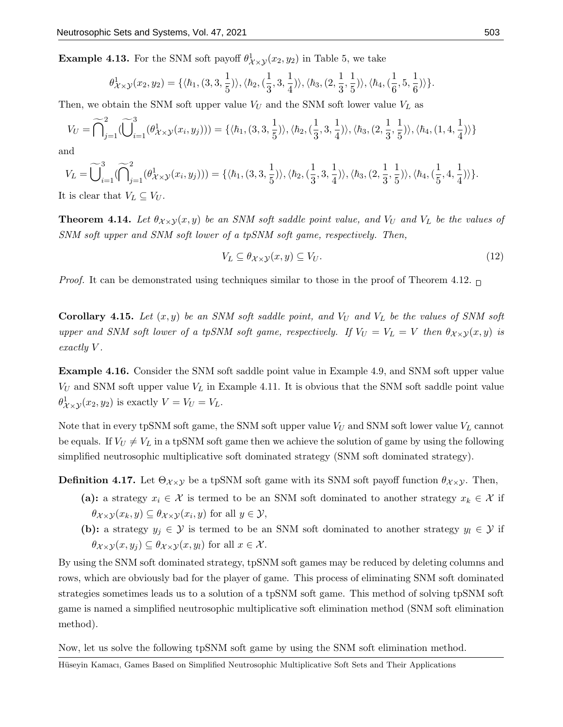**Example 4.13.** For the SNM soft payoff  $\theta_{\mathcal{X}\times\mathcal{Y}}^1(x_2, y_2)$  in Table 5, we take

$$
\theta_{\mathcal{X}\times\mathcal{Y}}^1(x_2,y_2)=\{\langle\hbar_1,(3,3,\frac{1}{5})\rangle,\langle\hbar_2,(\frac{1}{3},3,\frac{1}{4})\rangle,\langle\hbar_3,(2,\frac{1}{3},\frac{1}{5})\rangle,\langle\hbar_4,(\frac{1}{6},5,\frac{1}{6})\rangle\}.
$$

Then, we obtain the SNM soft upper value  $V_U$  and the SNM soft lower value  $V_L$  as

$$
V_U = \widetilde{\bigcap}_{j=1}^2 (\widetilde{\bigcup}_{i=1}^3 (\theta_{\mathcal{X}\times\mathcal{Y}}^1(x_i, y_j))) = \{ \langle \hbar_1, (3, 3, \frac{1}{5}) \rangle, \langle \hbar_2, (\frac{1}{3}, 3, \frac{1}{4}) \rangle, \langle \hbar_3, (2, \frac{1}{3}, \frac{1}{5}) \rangle, \langle \hbar_4, (1, 4, \frac{1}{4}) \rangle \}
$$

and

$$
V_L = \widetilde{\bigcup}_{i=1}^3 (\widetilde{\bigcap}_{j=1}^2 (\theta_{\mathcal{X}\times\mathcal{Y}}^1(x_i, y_j))) = \{ \langle \hbar_1, (3, 3, \frac{1}{5}) \rangle, \langle \hbar_2, (\frac{1}{3}, 3, \frac{1}{4}) \rangle, \langle \hbar_3, (2, \frac{1}{3}, \frac{1}{5}) \rangle, \langle \hbar_4, (\frac{1}{5}, 4, \frac{1}{4}) \rangle \}.
$$

It is clear that  $V_L \subseteq V_U$ .

**Theorem 4.14.** Let  $\theta_{\mathcal{X}\times\mathcal{Y}}(x,y)$  be an SNM soft saddle point value, and  $V_U$  and  $V_L$  be the values of SNM soft upper and SNM soft lower of a tpSNM soft game, respectively. Then,

$$
V_L \subseteq \theta_{\mathcal{X} \times \mathcal{Y}}(x, y) \subseteq V_U. \tag{12}
$$

*Proof.* It can be demonstrated using techniques similar to those in the proof of Theorem 4.12.  $\Box$ 

**Corollary 4.15.** Let  $(x, y)$  be an SNM soft saddle point, and  $V_U$  and  $V_L$  be the values of SNM soft upper and SNM soft lower of a tpSNM soft game, respectively. If  $V_U = V_L = V$  then  $\theta_{\mathcal{X}\times\mathcal{Y}}(x, y)$  is exactly V.

Example 4.16. Consider the SNM soft saddle point value in Example 4.9, and SNM soft upper value  $V_U$  and SNM soft upper value  $V_L$  in Example 4.11. It is obvious that the SNM soft saddle point value  $\theta_{\mathcal{X}\times\mathcal{Y}}^1(x_2, y_2)$  is exactly  $V = V_U = V_L$ .

Note that in every tpSNM soft game, the SNM soft upper value  $V_U$  and SNM soft lower value  $V_L$  cannot be equals. If  $V_U \neq V_L$  in a tpSNM soft game then we achieve the solution of game by using the following simplified neutrosophic multiplicative soft dominated strategy (SNM soft dominated strategy).

**Definition 4.17.** Let  $\Theta_{\chi\times\chi}$  be a tpSNM soft game with its SNM soft payoff function  $\theta_{\chi\times\chi}$ . Then,

- (a): a strategy  $x_i \in \mathcal{X}$  is termed to be an SNM soft dominated to another strategy  $x_k \in \mathcal{X}$  if  $\theta_{\mathcal{X}\times\mathcal{Y}}(x_k, y) \subseteq \theta_{\mathcal{X}\times\mathcal{Y}}(x_i, y)$  for all  $y \in \mathcal{Y}$ ,
- (b): a strategy  $y_j \in \mathcal{Y}$  is termed to be an SNM soft dominated to another strategy  $y_l \in \mathcal{Y}$  if  $\theta_{\mathcal{X}\times\mathcal{Y}}(x,y_i)\subseteq\theta_{\mathcal{X}\times\mathcal{Y}}(x,y_l)$  for all  $x\in\mathcal{X}$ .

By using the SNM soft dominated strategy, tpSNM soft games may be reduced by deleting columns and rows, which are obviously bad for the player of game. This process of eliminating SNM soft dominated strategies sometimes leads us to a solution of a tpSNM soft game. This method of solving tpSNM soft game is named a simplified neutrosophic multiplicative soft elimination method (SNM soft elimination method).

Now, let us solve the following tpSNM soft game by using the SNM soft elimination method.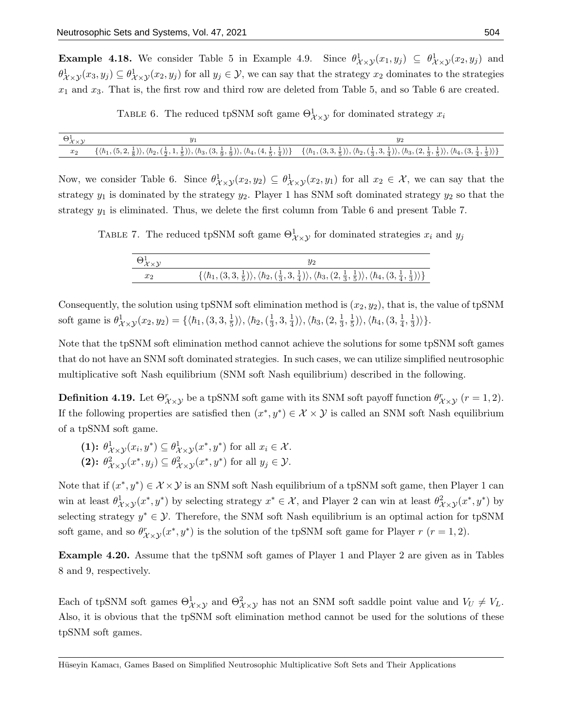**Example 4.18.** We consider Table 5 in Example 4.9. Since  $\theta_{\mathcal{X}\times\mathcal{Y}}^1(x_1,y_j) \subseteq \theta_{\mathcal{X}\times\mathcal{Y}}^1(x_2,y_j)$  and  $\theta_{\mathcal{X}\times\mathcal{Y}}^1(x_3,y_j) \subseteq \theta_{\mathcal{X}\times\mathcal{Y}}^1(x_2,y_j)$  for all  $y_j \in \mathcal{Y}$ , we can say that the strategy  $x_2$  dominates to the strategies  $x_1$  and  $x_3$ . That is, the first row and third row are deleted from Table 5, and so Table 6 are created.

TABLE 6. The reduced tpSNM soft game  $\Theta_{\mathcal{X}\times\mathcal{Y}}^1$  for dominated strategy  $x_i$ 

| $\Theta^1_{\mathcal{X}\times\mathcal{Y}}$ |                                                                                                                                                                                                                                                                                                                                                                                                               | บว |
|-------------------------------------------|---------------------------------------------------------------------------------------------------------------------------------------------------------------------------------------------------------------------------------------------------------------------------------------------------------------------------------------------------------------------------------------------------------------|----|
| $x_2$                                     | $\{\langle\hbar_1,(5,2,\frac{1}{8})\rangle,\langle\hbar_2,(\frac{1}{2},1,\frac{1}{5})\rangle,\langle\hbar_3,(3,\frac{1}{9},\frac{1}{9})\rangle,\langle\hbar_4,(4,\frac{1}{5},\frac{1}{4})\rangle\}\quad \, \{\langle\hbar_1,(3,3,\frac{1}{5})\rangle,\langle\hbar_2,(\frac{1}{3},3,\frac{1}{4})\rangle,\langle\hbar_3,(2,\frac{1}{3},\frac{1}{5})\rangle,\langle\hbar_4,(3,\frac{1}{4},\frac{1}{3})\rangle\}$ |    |

Now, we consider Table 6. Since  $\theta_{\mathcal{X}\times\mathcal{Y}}^1(x_2, y_2) \subseteq \theta_{\mathcal{X}\times\mathcal{Y}}^1(x_2, y_1)$  for all  $x_2 \in \mathcal{X}$ , we can say that the strategy  $y_1$  is dominated by the strategy  $y_2$ . Player 1 has SNM soft dominated strategy  $y_2$  so that the strategy  $y_1$  is eliminated. Thus, we delete the first column from Table 6 and present Table 7.

TABLE 7. The reduced tpSNM soft game  $\Theta^1_{\mathcal{X}\times\mathcal{Y}}$  for dominated strategies  $x_i$  and  $y_j$ 

| $x_{2}$ | $\{\langle \hbar_1, (3,3,\frac{1}{5}) \rangle, \langle \hbar_2, (\frac{1}{3},3,\frac{1}{4}) \rangle, \langle \hbar_3, (2,\frac{1}{3},\frac{1}{5}) \rangle, \langle \hbar_4, (3,\frac{1}{4},\frac{1}{3}) \rangle\}$ |
|---------|--------------------------------------------------------------------------------------------------------------------------------------------------------------------------------------------------------------------|

Consequently, the solution using tpSNM soft elimination method is  $(x_2, y_2)$ , that is, the value of tpSNM soft game is  $\theta_{\mathcal{X}\times\mathcal{Y}}^1(x_2, y_2) = \{ \langle h_1, (3, 3, \frac{1}{5}) \rangle \}$  $\langle \hbar_2, (\frac{1}{3}) \rangle, \langle \hbar_2, (\frac{1}{3}$  $\frac{1}{3}$ , 3,  $\frac{1}{4}$  $\langle \hbar_3,(2,\frac{1}{3}% )\rangle$  $\frac{1}{3}, \frac{1}{5}$  $\ket{\frac{1}{5}}\rangle,\langle\hbar_4,(3,\frac{1}{4}% )\rangle$  $\frac{1}{4}, \frac{1}{3}$  $\frac{1}{3})\rangle\}.$ 

Note that the tpSNM soft elimination method cannot achieve the solutions for some tpSNM soft games that do not have an SNM soft dominated strategies. In such cases, we can utilize simplified neutrosophic multiplicative soft Nash equilibrium (SNM soft Nash equilibrium) described in the following.

**Definition 4.19.** Let  $\Theta_{\chi\times\chi}^r$  be a tpSNM soft game with its SNM soft payoff function  $\theta_{\chi\times\chi}^r$  ( $r=1,2$ ). If the following properties are satisfied then  $(x^*, y^*) \in \mathcal{X} \times \mathcal{Y}$  is called an SNM soft Nash equilibrium of a tpSNM soft game.

(1): 
$$
\theta^1_{\mathcal{X}\times\mathcal{Y}}(x_i, y^*) \subseteq \theta^1_{\mathcal{X}\times\mathcal{Y}}(x^*, y^*)
$$
 for all  $x_i \in \mathcal{X}$ .  
(2):  $\theta^2_{\mathcal{X}\times\mathcal{Y}}(x^*, y_j) \subseteq \theta^2_{\mathcal{X}\times\mathcal{Y}}(x^*, y^*)$  for all  $y_j \in \mathcal{Y}$ .

Note that if  $(x^*, y^*) \in \mathcal{X} \times \mathcal{Y}$  is an SNM soft Nash equilibrium of a tpSNM soft game, then Player 1 can win at least  $\theta^1_{\mathcal{X}\times\mathcal{Y}}(x^*,y^*)$  by selecting strategy  $x^*\in\mathcal{X}$ , and Player 2 can win at least  $\theta^2_{\mathcal{X}\times\mathcal{Y}}(x^*,y^*)$  by selecting strategy  $y^* \in \mathcal{Y}$ . Therefore, the SNM soft Nash equilibrium is an optimal action for tpSNM soft game, and so  $\theta_{\mathcal{X}\times\mathcal{Y}}^r(x^*,y^*)$  is the solution of the tpSNM soft game for Player  $r$   $(r=1,2)$ .

Example 4.20. Assume that the tpSNM soft games of Player 1 and Player 2 are given as in Tables 8 and 9, respectively.

Each of tpSNM soft games  $\Theta_{\mathcal{X}\times\mathcal{Y}}^1$  and  $\Theta_{\mathcal{X}\times\mathcal{Y}}^2$  has not an SNM soft saddle point value and  $V_U \neq V_L$ . Also, it is obvious that the tpSNM soft elimination method cannot be used for the solutions of these tpSNM soft games.

Hüseyin Kamacı, Games Based on Simplified Neutrosophic Multiplicative Soft Sets and Their Applications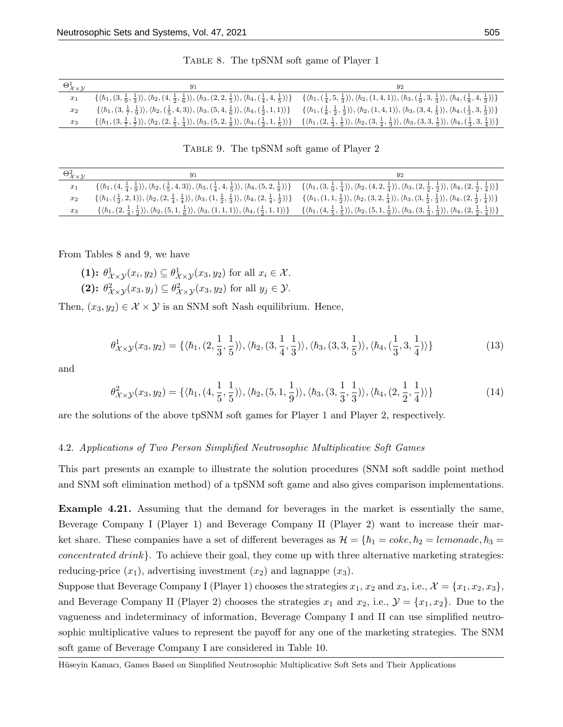| $\Theta^1_{\mathcal{X}\times\mathcal{Y}}$ | У1                                                                                                                                                                                                  | Y2                                                                                                                                                                                                                                                                                                                                                                                                                      |
|-------------------------------------------|-----------------------------------------------------------------------------------------------------------------------------------------------------------------------------------------------------|-------------------------------------------------------------------------------------------------------------------------------------------------------------------------------------------------------------------------------------------------------------------------------------------------------------------------------------------------------------------------------------------------------------------------|
| $x_1$                                     | $\{\langle\hbar_1,(3,\frac{1}{9},\frac{1}{3})\rangle,\langle\hbar_2,(4,\frac{1}{2},\frac{1}{6})\rangle,\langle\hbar_3,(2,2,\frac{1}{5})\rangle,\langle\hbar_4,(\frac{1}{4},4,\frac{1}{5})\rangle\}$ | $\{\langle\hbar_1, (\frac{1}{4}, 5, \frac{1}{3})\rangle, \langle\hbar_2, (1,4,1)\rangle, \langle\hbar_3, (\frac{1}{9}, 3, \frac{1}{3})\rangle, \langle\hbar_4, (\frac{1}{8}, 4, \frac{1}{3})\rangle\}$                                                                                                                                                                                                                  |
| $x_2$                                     |                                                                                                                                                                                                     | $\{\langle h_1, (3, \frac{1}{7}, \frac{1}{9})\rangle, \langle h_2, (\frac{1}{5}, 4, 3)\rangle, \langle h_3, (5, 4, \frac{1}{6})\rangle, \langle h_4, (\frac{1}{5}, 1, 1)\rangle\}$ $\{\langle h_1, (\frac{1}{8}, \frac{1}{2}, \frac{1}{2}, \frac{1}{2})\rangle, \langle h_2, (1, 4, 1)\rangle, \langle h_3, (3, 4, \frac{1}{5})\rangle, \langle h_4, (\frac{1}{3}, 3, \frac{1}{3})\rangle\}$                            |
| $x_3$                                     |                                                                                                                                                                                                     | $\{\langle h_1, (3, \frac{1}{2}, \frac{1}{2})\rangle, \langle h_2, (2, \frac{1}{5}, \frac{1}{4})\rangle, \langle h_3, (5, 2, \frac{1}{8})\rangle, \langle h_4, (\frac{1}{2}, 1, \frac{1}{5})\rangle\} \quad \{\langle h_1, (2, \frac{1}{3}, \frac{1}{5})\rangle\}, \langle h_2, (3, \frac{1}{4}, \frac{1}{3})\rangle\}, \langle h_3, (3, 3, \frac{1}{5})\rangle\}, \langle h_4, (\frac{1}{3}, 3, \frac{1}{4})\rangle\}$ |

Table 8. The tpSNM soft game of Player 1

Table 9. The tpSNM soft game of Player 2

| $\Theta_{\mathcal{X}\times\mathcal{Y}}^{2}$ | $y_1$                                                                                                                                                                                                                      | $y_2$                                                                                                                                                                                                                                                                                                                                                                                         |
|---------------------------------------------|----------------------------------------------------------------------------------------------------------------------------------------------------------------------------------------------------------------------------|-----------------------------------------------------------------------------------------------------------------------------------------------------------------------------------------------------------------------------------------------------------------------------------------------------------------------------------------------------------------------------------------------|
| $x_1$                                       |                                                                                                                                                                                                                            | $\{\langle\hbar_1,(4,\frac{1}{4},\frac{1}{9})\rangle,\langle\hbar_2,(\frac{1}{5},4,3)\rangle,\langle\hbar_3,(\frac{1}{4},4,\frac{1}{5})\rangle,\langle\hbar_4,(5,2,\frac{1}{8})\rangle\}$ $\{\langle\hbar_1,(3,\frac{1}{9},\frac{1}{4})\rangle,\langle\hbar_2,(4,2,\frac{1}{4})\rangle,\langle\hbar_3,(2,\frac{1}{2},\frac{1}{2})\rangle,\langle\hbar_4,(2,\frac{1}{2},\frac{1}{4})\rangle\}$ |
| $x_2$                                       | $\{\langle \hbar_1, (\frac{1}{2}, 2, 1) \rangle, \langle \hbar_2, (2, \frac{1}{4}, \frac{1}{4}) \rangle, \langle \hbar_3, (1, \frac{1}{2}, \frac{1}{3}) \rangle, \langle \hbar_4, (2, \frac{1}{4}, \frac{1}{2}) \rangle\}$ | $\{\langle \hbar_1, (1,1,\frac{1}{2}) \rangle, \langle \hbar_2, (3,2,\frac{1}{4}) \rangle, \langle \hbar_3, (3,\frac{1}{2},\frac{1}{3}) \rangle, \langle \hbar_4, (2,\frac{1}{2},\frac{1}{4}) \rangle\}$                                                                                                                                                                                      |
| $x_3$                                       | $\{\langle \hbar_1, (2, \frac{1}{4}, \frac{1}{2}) \rangle, \langle \hbar_2, (5, 1, \frac{1}{6}) \rangle, \langle \hbar_3, (1, 1, 1) \rangle, \langle \hbar_4, (\frac{1}{2}, 1, 1) \rangle\}$                               | $\{\langle \hbar_1, (4, \frac{1}{5}, \frac{1}{5}) \rangle, \langle \hbar_2, (5, 1, \frac{1}{9}) \rangle, \langle \hbar_3, (3, \frac{1}{3}, \frac{1}{3}) \rangle, \langle \hbar_4, (2, \frac{1}{2}, \frac{1}{4}) \rangle \}$                                                                                                                                                                   |

From Tables 8 and 9, we have

(1):  $\theta^1_{\mathcal{X}\times\mathcal{Y}}(x_i,y_2) \subseteq \theta^1_{\mathcal{X}\times\mathcal{Y}}(x_3,y_2)$  for all  $x_i \in \mathcal{X}$ .

(2): 
$$
\theta_{\mathcal{X}\times\mathcal{Y}}^2(x_3, y_j) \subseteq \theta_{\mathcal{X}\times\mathcal{Y}}^2(x_3, y_2)
$$
 for all  $y_j \in \mathcal{Y}$ .

Then,  $(x_3, y_2) \in \mathcal{X} \times \mathcal{Y}$  is an SNM soft Nash equilibrium. Hence,

$$
\theta_{\mathcal{X}\times\mathcal{Y}}^1(x_3, y_2) = \{ \langle \hbar_1, (2, \frac{1}{3}, \frac{1}{5}) \rangle, \langle \hbar_2, (3, \frac{1}{4}, \frac{1}{3}) \rangle, \langle \hbar_3, (3, 3, \frac{1}{5}) \rangle, \langle \hbar_4, (\frac{1}{3}, 3, \frac{1}{4}) \rangle \}
$$
(13)

and

$$
\theta_{\mathcal{X}\times\mathcal{Y}}^{2}(x_{3},y_{2}) = \{ \langle \hbar_{1}, (4, \frac{1}{5}, \frac{1}{5}) \rangle, \langle \hbar_{2}, (5, 1, \frac{1}{9}) \rangle, \langle \hbar_{3}, (3, \frac{1}{3}, \frac{1}{3}) \rangle, \langle \hbar_{4}, (2, \frac{1}{2}, \frac{1}{4}) \rangle \}
$$
(14)

are the solutions of the above tpSNM soft games for Player 1 and Player 2, respectively.

#### 4.2. Applications of Two Person Simplified Neutrosophic Multiplicative Soft Games

This part presents an example to illustrate the solution procedures (SNM soft saddle point method and SNM soft elimination method) of a tpSNM soft game and also gives comparison implementations.

Example 4.21. Assuming that the demand for beverages in the market is essentially the same, Beverage Company I (Player 1) and Beverage Company II (Player 2) want to increase their market share. These companies have a set of different beverages as  $\mathcal{H} = \{\hbar_1 = coke, \hbar_2 = lemonade, \hbar_3 =$ concentrated drink}. To achieve their goal, they come up with three alternative marketing strategies: reducing-price  $(x_1)$ , advertising investment  $(x_2)$  and lagnappe  $(x_3)$ .

Suppose that Beverage Company I (Player 1) chooses the strategies  $x_1, x_2$  and  $x_3$ , i.e.,  $\mathcal{X} = \{x_1, x_2, x_3\}$ , and Beverage Company II (Player 2) chooses the strategies  $x_1$  and  $x_2$ , i.e.,  $\mathcal{Y} = \{x_1, x_2\}$ . Due to the vagueness and indeterminacy of information, Beverage Company I and II can use simplified neutrosophic multiplicative values to represent the payoff for any one of the marketing strategies. The SNM soft game of Beverage Company I are considered in Table 10.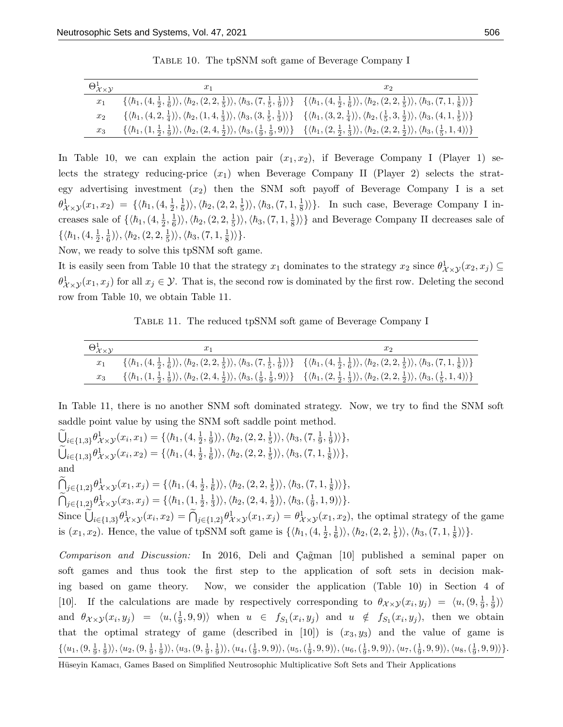| $\Theta^1_{\mathcal{X}\times\mathcal{Y}}$ | $x_1$                                                                                                                                                                                                                                                                                                                       | $x_2$ |
|-------------------------------------------|-----------------------------------------------------------------------------------------------------------------------------------------------------------------------------------------------------------------------------------------------------------------------------------------------------------------------------|-------|
| $x_1$                                     | $\{\langle\hbar_1, (4,\frac{1}{2},\frac{1}{6})\rangle, \langle\hbar_2, (2,2,\frac{1}{5})\rangle, \langle\hbar_3, (7,\frac{1}{5},\frac{1}{9})\rangle\}$ $\{\langle\hbar_1, (4,\frac{1}{2},\frac{1}{6})\rangle, \langle\hbar_2, (2,2,\frac{1}{5})\rangle, \langle\hbar_3, (7,1,\frac{1}{8})\rangle\}$                         |       |
| $x_2$                                     | $\{\langle \hbar_1, (4,2,\frac{1}{4}) \rangle, \langle \hbar_2, (1,4,\frac{1}{3}) \rangle, \langle \hbar_3, (3,\frac{1}{5},\frac{1}{3}) \rangle\}$ $\{\langle \hbar_1, (3,2,\frac{1}{4}) \rangle, \langle \hbar_2, (\frac{1}{5},3,\frac{1}{2}) \rangle, \langle \hbar_3, (4,1,\frac{1}{5}) \rangle\}$                       |       |
| $x_3$                                     | $\{\langle \hbar_1, (1, \frac{1}{2}, \frac{1}{9}) \rangle, \langle \hbar_2, (2, 4, \frac{1}{2}) \rangle, \langle \hbar_3, (\frac{1}{9}, \frac{1}{9}, 9) \rangle\}$ $\{\langle \hbar_1, (2, \frac{1}{2}, \frac{1}{3}) \rangle, \langle \hbar_2, (2, 2, \frac{1}{2}) \rangle, \langle \hbar_3, (\frac{1}{5}, 1, 4) \rangle\}$ |       |

Table 10. The tpSNM soft game of Beverage Company I

In Table 10, we can explain the action pair  $(x_1, x_2)$ , if Beverage Company I (Player 1) selects the strategy reducing-price  $(x_1)$  when Beverage Company II (Player 2) selects the strategy advertising investment  $(x_2)$  then the SNM soft payoff of Beverage Company I is a set  $\theta_{\mathcal{X}\times\mathcal{Y}}^1(x_1,x_2) = \{\langle \hbar_1,(4,\frac{1}{2})\rangle$  $\frac{1}{2}, \frac{1}{6}$  $\langle \hbar_2, (2,2,\frac{1}{5})$  $\frac{1}{5})\rangle,\langle\hbar_3,(7,1,\frac{1}{8}% )\rangle$  $\frac{1}{8}$ ) }. In such case, Beverage Company I increases sale of  $\{\langle \hbar_1,(4,\frac{1}{2})\rangle\}$  $\frac{1}{2}, \frac{1}{6}$  $\langle \hbar_2, (2,2,\frac{1}{5})$  $\langle \hbar_3,(7,1,\frac{1}{8}% ,1)\rangle$  $\frac{1}{8}$ ) and Beverage Company II decreases sale of  $\{\langle \hbar_1,(4,\frac{1}{2}$  $\frac{1}{2}, \frac{1}{6}$  $\langle \hbar_2, (2,2,\frac{1}{5})$  $\ket{\frac{1}{5}}\rangle,\langle\hbar_3,(7,1,\frac{1}{8}% )^{2},\langle\Delta\rangle\langle\Delta\rangle\langle\Delta\rangle\langle\Delta\rangle\langle\Delta\rangle\langle\Delta\rangle\langle\Delta\rangle\langle\Delta\rangle\langle\Delta\rangle\langle\Delta\rangle\langle\Delta\rangle\langle\Delta\rangle\langle\Delta\rangle\langle\Delta\rangle\langle\Delta\rangle\langle\Delta\rangle\langle\Delta\rangle\langle\Delta\rangle\langle\Delta\rangle\langle\Delta\rangle\langle\Delta\rangle\langle\Delta\rangle\langle\Delta\rangle\langle\Delta\rangle\langle\Delta\rangle\langle\Delta\rangle\langle\Delta\rangle\langle\Delta\rangle\langle\Delta\rangle\langle\Delta\rangle\langle\Delta\rangle\$  $\frac{1}{8})\rangle$ .

Now, we ready to solve this tpSNM soft game.

It is easily seen from Table 10 that the strategy  $x_1$  dominates to the strategy  $x_2$  since  $\theta^1_{\mathcal{X}\times\mathcal{Y}}(x_2, x_j) \subseteq$  $\theta_{\mathcal{X}\times\mathcal{Y}}^1(x_1,x_j)$  for all  $x_j \in \mathcal{Y}$ . That is, the second row is dominated by the first row. Deleting the second row from Table 10, we obtain Table 11.

TABLE 11. The reduced tpSNM soft game of Beverage Company I

| $\Theta^1_{\mathcal{X}\times\mathcal{Y}}$ | $x_1$                                                                                                                                                                                                                                                                                                                                       |  |
|-------------------------------------------|---------------------------------------------------------------------------------------------------------------------------------------------------------------------------------------------------------------------------------------------------------------------------------------------------------------------------------------------|--|
| $x_1$                                     | $\{\langle \hbar_1, (4, \frac{1}{2}, \frac{1}{6}) \rangle, \langle \hbar_2, (2, 2, \frac{1}{5}) \rangle, \langle \hbar_3, (7, \frac{1}{5}, \frac{1}{9}) \rangle\}$ $\{\langle \hbar_1, (4, \frac{1}{2}, \frac{1}{6}) \rangle, \langle \hbar_2, (2, 2, \frac{1}{5}) \rangle, \langle \hbar_3, (7, 1, \frac{1}{8}) \rangle\}$                 |  |
|                                           | $x_3 \qquad \{\langle \hbar_1, (1, \frac{1}{2}, \frac{1}{9}) \rangle, \langle \hbar_2, (2, 4, \frac{1}{2}) \rangle, \langle \hbar_3, (\frac{1}{9}, \frac{1}{9}, 9) \rangle\} \qquad \{\langle \hbar_1, (2, \frac{1}{2}, \frac{1}{3}) \rangle, \langle \hbar_2, (2, 2, \frac{1}{2}) \rangle, \langle \hbar_3, (\frac{1}{5}, 1, 4) \rangle\}$ |  |

In Table 11, there is no another SNM soft dominated strategy. Now, we try to find the SNM soft saddle point value by using the SNM soft saddle point method.

 $\widetilde{U}_{i\in\{1,3\}}\theta^1_{\mathcal{X}\times\mathcal{Y}}(x_i,x_1)=\{\langle\hbar_1,(4,\tfrac{1}{2})\rangle$  $\frac{1}{2}, \frac{1}{9}$  $\langle \bar{n}_2, (2,2,\frac{1}{5})$  $|\frac{1}{5})\rangle,\langle\hbar3,(7,\frac{1}{9}% )^{2}\rangle$  $\frac{1}{9}, \frac{1}{9}$  $\frac{1}{9})\rangle\},$  $\widetilde{\bigcup}_{i \in \{1,3\}} \theta^1_{\mathcal{X} \times \mathcal{Y}}(x_i, x_2) = \{ \langle \hbar_1, (4, \frac{1}{2}) \rangle \}$  $\frac{1}{2}, \frac{1}{6}$  $\langle \hbar_2, (2,2,\frac{1}{5})$  $\frac{1}{5})\rangle,\langle\hbar3, (7,1,\frac{1}{8}% ,1)\rangle$  $\frac{1}{8})\rangle\},$ and  $\tilde{\bigcap}_{j\in\{1,2\}}\theta^1_{\mathcal{X}\times\mathcal{Y}}(x_1,x_j)=\{\langle\hbar_1,(4,\tfrac{1}{2})\rangle$  $\frac{1}{2}, \frac{1}{6}$  $\ket{\frac{1}{6}}\rangle, \langle \hbar_2, (2, 2, \frac{1}{5}$  $\frac{1}{5}$ ) $\rangle, \langle \hbar_3, (7, 1, \frac{1}{8})$  $\frac{1}{8})\rangle\},$  $\tilde{\bigcap}_{j\in\{1,2\}}\theta^1_{\mathcal{X}\times\mathcal{Y}}(x_3,x_j)=\{\langle\hbar_1,(1,\tfrac{1}{2})\rangle$  $\frac{1}{2}, \frac{1}{3}$  $\ket{\frac{1}{3}}\rangle, \langle \hbar_2, (2,4, \frac{1}{2}$  $\ket{\frac{1}{2}}\rangle, \langle \hbar_3, (\frac{1}{9}$  $\frac{1}{9}, 1, 9)\rangle\}.$ Since  $\bigcup_{i\in\{1,3\}}\theta_{\mathcal{X}\times\mathcal{Y}}^1(x_i,x_2) = \bigcap_{j\in\{1,2\}}\theta_{\mathcal{X}\times\mathcal{Y}}^1(x_1,x_j) = \theta_{\mathcal{X}\times\mathcal{Y}}^1(x_1,x_2)$ , the optimal strategy of the game is  $(x_1, x_2)$ . Hence, the value of tpSNM soft game is  $\{\langle \hbar_1,(4, \frac{1}{2}, \frac{1}{2}, \frac{1}{2}, \frac{1}{2}, \frac{1}{2}, \frac{1}{2}, \frac{1}{2}, \frac{1}{2}, \frac{1}{2}, \frac{1}{2}, \frac{1}{2}, \frac{1}{2}, \frac{1}{2}, \frac{1}{2}, \frac{1}{2}, \frac{1}{2}, \frac{1}{2}, \frac{1}{2}, \frac{1}{2}, \frac{1}{2}, \frac{1}{2}, \frac{1}{2}, \$  $\frac{1}{2}, \frac{1}{6}$  $\langle \hbar_2, (2,2,\frac{1}{5})$ 

Comparison and Discussion: In 2016, Deli and Çağman [10] published a seminal paper on soft games and thus took the first step to the application of soft sets in decision making based on game theory. Now, we consider the application (Table 10) in Section 4 of [10]. If the calculations are made by respectively corresponding to  $\theta_{\mathcal{X}\times\mathcal{Y}}(x_i,y_j) = \langle u, (9, \frac{1}{9}, \frac{1}{9}, \frac{1}{9}, \frac{1}{9}, \frac{1}{9}, \frac{1}{9}, \frac{1}{9}, \frac{1}{9}, \frac{1}{9}, \frac{1}{9}, \frac{1}{9}, \frac{1}{9}, \frac{1}{9}, \frac{1}{9}, \frac{1}{9}, \frac{1}{9}, \frac{1}{9}, \frac{$  $\frac{1}{9}, \frac{1}{9}$  $\frac{1}{9})\rangle$ and  $\theta_{\mathcal{X}\times\mathcal{Y}}(x_i,y_j) = \langle u, (\frac{1}{9}, \dots, \frac{1}{9}, \dots, \frac{1}{9}, \dots, \frac{1}{9}, \dots, \frac{1}{9}, \dots, \frac{1}{9}, \dots, \frac{1}{9}, \dots, \frac{1}{9}, \dots, \frac{1}{9}, \dots, \frac{1}{9}, \dots, \frac{1}{9}, \dots, \frac{1}{9}, \dots, \frac{1}{9}, \dots, \frac{1}{9}$  $\langle \frac{1}{9}, 9, 9 \rangle \rangle$  when  $u \in f_{S_1}(x_i, y_j)$  and  $u \notin f_{S_1}(x_i, y_j)$ , then we obtain that the optimal strategy of game (described in [10]) is  $(x_3, y_3)$  and the value of game is  $\{\langle u_1,(9,\frac{1}{9},\frac{1}{9})\rangle,\langle u_2,(9,\frac{1}{9},\frac{1}{9})\rangle,\langle u_3,(9,\frac{1}{9},\frac{1}{9})\rangle,\langle u_4,(\frac{1}{9},9,9)\rangle,\langle u_5,(\frac{1}{9},9,9)\rangle,\langle u_6,(\frac{1}{9},9,9)\rangle,\langle u_7,(\frac{1}{9},9,9)\rangle,\langle u_8,(\frac{1}{9},9,9)\rangle\}.$ 

 $\langle \hbar_3,(7,1,\frac{1}{8}% ,1)\rangle$ 

 $\frac{1}{8})\rangle$ .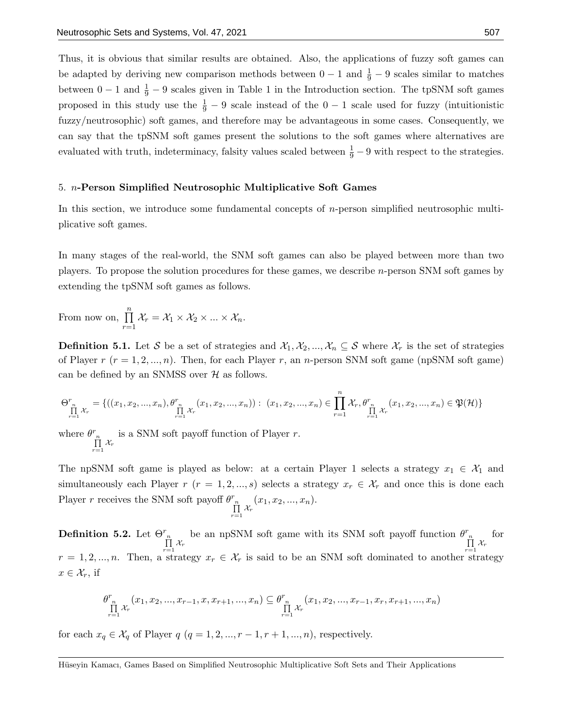Thus, it is obvious that similar results are obtained. Also, the applications of fuzzy soft games can be adapted by deriving new comparison methods between  $0-1$  and  $\frac{1}{9}-9$  scales similar to matches between  $0-1$  and  $\frac{1}{9}-9$  scales given in Table 1 in the Introduction section. The tpSNM soft games proposed in this study use the  $\frac{1}{9} - 9$  scale instead of the  $0 - 1$  scale used for fuzzy (intuitionistic fuzzy/neutrosophic) soft games, and therefore may be advantageous in some cases. Consequently, we can say that the tpSNM soft games present the solutions to the soft games where alternatives are evaluated with truth, indeterminacy, falsity values scaled between  $\frac{1}{9} - 9$  with respect to the strategies.

# 5. n-Person Simplified Neutrosophic Multiplicative Soft Games

In this section, we introduce some fundamental concepts of *n*-person simplified neutrosophic multiplicative soft games.

In many stages of the real-world, the SNM soft games can also be played between more than two players. To propose the solution procedures for these games, we describe n-person SNM soft games by extending the tpSNM soft games as follows.

From now on,  $\prod_{n=1}^{\infty}$  $r=1$  $\mathcal{X}_r = \mathcal{X}_1 \times \mathcal{X}_2 \times ... \times \mathcal{X}_n.$ 

**Definition 5.1.** Let S be a set of strategies and  $\mathcal{X}_1, \mathcal{X}_2, ..., \mathcal{X}_n \subseteq \mathcal{S}$  where  $\mathcal{X}_r$  is the set of strategies of Player  $r$  ( $r = 1, 2, ..., n$ ). Then, for each Player r, an n-person SNM soft game (npSNM soft game) can be defined by an SNMSS over  $H$  as follows.

$$
\Theta^r_{\prod\limits_{r=1}^{n}\mathcal{X}_r}=\{((x_1,x_2,...,x_n),\theta^r_{\prod\limits_{r=1}^{n}\mathcal{X}_r}(x_1,x_2,...,x_n)):\ (x_1,x_2,...,x_n)\in\prod\limits_{r=1}^{n}\mathcal{X}_r,\theta^r_{\prod\limits_{r=1}^{n}\mathcal{X}_r}(x_1,x_2,...,x_n)\in\mathfrak{P}(\mathcal{H})\}
$$

where  $\theta_{\prod_{r=1}^{n} \mathcal{X}_r}^r$ is a SNM soft payoff function of Player  $r$ .

The npSNM soft game is played as below: at a certain Player 1 selects a strategy  $x_1 \in \mathcal{X}_1$  and simultaneously each Player  $r$  ( $r = 1, 2, ..., s$ ) selects a strategy  $x_r \in \mathcal{X}_r$  and once this is done each Player r receives the SNM soft payoff  $\theta_{\prod_{r=1}^{n} X_r}^r(x_1, x_2, ..., x_n)$ .

**Definition 5.2.** Let  $\Theta_{\substack{r \ \prod\limits_{r=1}^{n}\mathcal{X}_r}}^{r}$ be an npSNM soft game with its SNM soft payoff function  $\theta_{\prod_{r=1}^{n} X_r}^r$ for  $r = 1, 2, ..., n$ . Then, a strategy  $x_r \in \mathcal{X}_r$  is said to be an SNM soft dominated to another strategy  $x \in \mathcal{X}_r$ , if

$$
\theta^{r}_{\prod\limits_{r=1}^{n} \mathcal{X}_{r}}(x_{1}, x_{2}, ..., x_{r-1}, x, x_{r+1}, ..., x_{n}) \subseteq \theta^{r}_{\prod\limits_{r=1}^{n} \mathcal{X}_{r}}(x_{1}, x_{2}, ..., x_{r-1}, x_{r}, x_{r+1}, ..., x_{n})
$$

for each  $x_q \in \mathcal{X}_q$  of Player  $q$   $(q = 1, 2, ..., r - 1, r + 1, ..., n)$ , respectively.

Hüseyin Kamacı, Games Based on Simplified Neutrosophic Multiplicative Soft Sets and Their Applications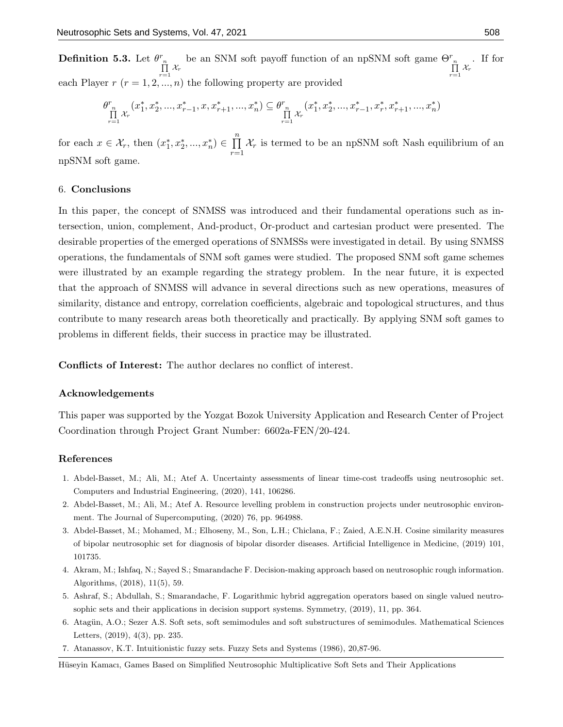**Definition 5.3.** Let  $\theta_{\prod_{r=1}^{n} X_r}^r$ be an SNM soft payoff function of an npSNM soft game  $\Theta_{n}^{r}$  $\prod\limits_{r=1} \chi_r$ . If for each Player  $r$   $(r = 1, 2, ..., n)$  the following property are provided

$$
\theta^{r}_{\substack{n\\ \prod\limits_{r=1}^{n}\mathcal{X}_r}}(x_1^*,x_2^*,...,x_{r-1}^*,x,x_{r+1}^*,...,x_n^*)\subseteq \theta^{r}_{\substack{n\\ \prod\limits_{r=1}^{n}\mathcal{X}_r}}(x_1^*,x_2^*,...,x_{r-1}^*,x_r^*,x_{r+1}^*,...,x_n^*)
$$

for each  $x \in \mathcal{X}_r$ , then  $(x_1^*, x_2^*, ..., x_n^*) \in \prod^n$  $r=1$  $\mathcal{X}_r$  is termed to be an npSNM soft Nash equilibrium of an npSNM soft game.

## 6. Conclusions

In this paper, the concept of SNMSS was introduced and their fundamental operations such as intersection, union, complement, And-product, Or-product and cartesian product were presented. The desirable properties of the emerged operations of SNMSSs were investigated in detail. By using SNMSS operations, the fundamentals of SNM soft games were studied. The proposed SNM soft game schemes were illustrated by an example regarding the strategy problem. In the near future, it is expected that the approach of SNMSS will advance in several directions such as new operations, measures of similarity, distance and entropy, correlation coefficients, algebraic and topological structures, and thus contribute to many research areas both theoretically and practically. By applying SNM soft games to problems in different fields, their success in practice may be illustrated.

Conflicts of Interest: The author declares no conflict of interest.

#### Acknowledgements

This paper was supported by the Yozgat Bozok University Application and Research Center of Project Coordination through Project Grant Number: 6602a-FEN/20-424.

## References

- 1. Abdel-Basset, M.; Ali, M.; Atef A. Uncertainty assessments of linear time-cost tradeoffs using neutrosophic set. Computers and Industrial Engineering, (2020), 141, 106286.
- 2. Abdel-Basset, M.; Ali, M.; Atef A. Resource levelling problem in construction projects under neutrosophic environment. The Journal of Supercomputing, (2020) 76, pp. 964988.
- 3. Abdel-Basset, M.; Mohamed, M.; Elhoseny, M., Son, L.H.; Chiclana, F.; Zaied, A.E.N.H. Cosine similarity measures of bipolar neutrosophic set for diagnosis of bipolar disorder diseases. Artificial Intelligence in Medicine, (2019) 101, 101735.
- 4. Akram, M.; Ishfaq, N.; Sayed S.; Smarandache F. Decision-making approach based on neutrosophic rough information. Algorithms, (2018), 11(5), 59.
- 5. Ashraf, S.; Abdullah, S.; Smarandache, F. Logarithmic hybrid aggregation operators based on single valued neutrosophic sets and their applications in decision support systems. Symmetry, (2019), 11, pp. 364.
- 6. Atagün, A.O.; Sezer A.S. Soft sets, soft semimodules and soft substructures of semimodules. Mathematical Sciences Letters, (2019), 4(3), pp. 235.
- 7. Atanassov, K.T. Intuitionistic fuzzy sets. Fuzzy Sets and Systems (1986), 20,87-96.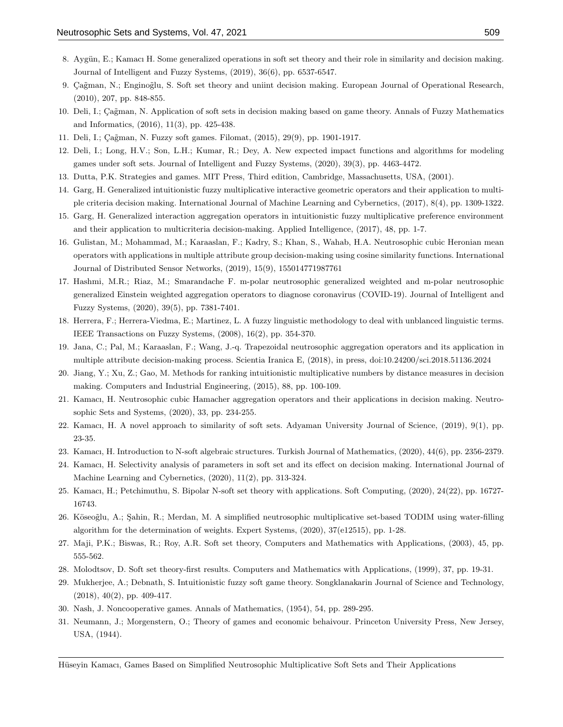- 8. Aygün, E.; Kamacı H. Some generalized operations in soft set theory and their role in similarity and decision making. Journal of Intelligent and Fuzzy Systems, (2019), 36(6), pp. 6537-6547.
- 9. Çağman, N.; Enginoğlu, S. Soft set theory and uniint decision making. European Journal of Operational Research, (2010), 207, pp. 848-855.
- 10. Deli, I.; Çağman, N. Application of soft sets in decision making based on game theory. Annals of Fuzzy Mathematics and Informatics, (2016), 11(3), pp. 425-438.
- 11. Deli, I.; Çağman, N. Fuzzy soft games. Filomat, (2015), 29(9), pp. 1901-1917.
- 12. Deli, I.; Long, H.V.; Son, L.H.; Kumar, R.; Dey, A. New expected impact functions and algorithms for modeling games under soft sets. Journal of Intelligent and Fuzzy Systems, (2020), 39(3), pp. 4463-4472.
- 13. Dutta, P.K. Strategies and games. MIT Press, Third edition, Cambridge, Massachusetts, USA, (2001).
- 14. Garg, H. Generalized intuitionistic fuzzy multiplicative interactive geometric operators and their application to multiple criteria decision making. International Journal of Machine Learning and Cybernetics, (2017), 8(4), pp. 1309-1322.
- 15. Garg, H. Generalized interaction aggregation operators in intuitionistic fuzzy multiplicative preference environment and their application to multicriteria decision-making. Applied Intelligence, (2017), 48, pp. 1-7.
- 16. Gulistan, M.; Mohammad, M.; Karaaslan, F.; Kadry, S.; Khan, S., Wahab, H.A. Neutrosophic cubic Heronian mean operators with applications in multiple attribute group decision-making using cosine similarity functions. International Journal of Distributed Sensor Networks, (2019), 15(9), 155014771987761
- 17. Hashmi, M.R.; Riaz, M.; Smarandache F. m-polar neutrosophic generalized weighted and m-polar neutrosophic generalized Einstein weighted aggregation operators to diagnose coronavirus (COVID-19). Journal of Intelligent and Fuzzy Systems, (2020), 39(5), pp. 7381-7401.
- 18. Herrera, F.; Herrera-Viedma, E.; Martinez, L. A fuzzy linguistic methodology to deal with unblanced linguistic terms. IEEE Transactions on Fuzzy Systems, (2008), 16(2), pp. 354-370.
- 19. Jana, C.; Pal, M.; Karaaslan, F.; Wang, J.-q. Trapezoidal neutrosophic aggregation operators and its application in multiple attribute decision-making process. Scientia Iranica E, (2018), in press, doi:10.24200/sci.2018.51136.2024
- 20. Jiang, Y.; Xu, Z.; Gao, M. Methods for ranking intuitionistic multiplicative numbers by distance measures in decision making. Computers and Industrial Engineering, (2015), 88, pp. 100-109.
- 21. Kamacı, H. Neutrosophic cubic Hamacher aggregation operators and their applications in decision making. Neutrosophic Sets and Systems, (2020), 33, pp. 234-255.
- 22. Kamacı, H. A novel approach to similarity of soft sets. Adyaman University Journal of Science, (2019), 9(1), pp. 23-35.
- 23. Kamacı, H. Introduction to N-soft algebraic structures. Turkish Journal of Mathematics, (2020), 44(6), pp. 2356-2379.
- 24. Kamacı, H. Selectivity analysis of parameters in soft set and its effect on decision making. International Journal of Machine Learning and Cybernetics, (2020), 11(2), pp. 313-324.
- 25. Kamacı, H.; Petchimuthu, S. Bipolar N-soft set theory with applications. Soft Computing, (2020), 24(22), pp. 16727- 16743.
- 26. Köseoğlu, A.; Şahin, R.; Merdan, M. A simplified neutrosophic multiplicative set-based TODIM using water-filling algorithm for the determination of weights. Expert Systems, (2020), 37(e12515), pp. 1-28.
- 27. Maji, P.K.; Biswas, R.; Roy, A.R. Soft set theory, Computers and Mathematics with Applications, (2003), 45, pp. 555-562.
- 28. Molodtsov, D. Soft set theory-first results. Computers and Mathematics with Applications, (1999), 37, pp. 19-31.
- 29. Mukherjee, A.; Debnath, S. Intuitionistic fuzzy soft game theory. Songklanakarin Journal of Science and Technology, (2018), 40(2), pp. 409-417.
- 30. Nash, J. Noncooperative games. Annals of Mathematics, (1954), 54, pp. 289-295.
- 31. Neumann, J.; Morgenstern, O.; Theory of games and economic behaivour. Princeton University Press, New Jersey, USA, (1944).